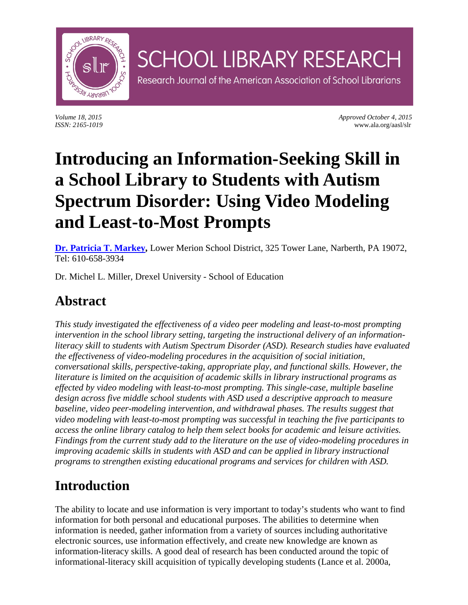

*Volume 18, 2015 Approved October 4, 2015 ISSN: 2165-1019* www.ala.org/aasl/slr

# **Introducing an Information-Seeking Skill in a School Library to Students with Autism Spectrum Disorder: Using Video Modeling and Least-to-Most Prompts**

**SCHOOL LIBRARY RESEARCH** 

Research Journal of the American Association of School Librarians

**[Dr. Patricia T. Markey,](mailto:markeyp@lmsd.org)** Lower Merion School District, 325 Tower Lane, Narberth, PA 19072, Tel: 610-658-3934

Dr. Michel L. Miller, Drexel University - School of Education

# **Abstract**

*This study investigated the effectiveness of a video peer modeling and least-to-most prompting intervention in the school library setting, targeting the instructional delivery of an informationliteracy skill to students with Autism Spectrum Disorder (ASD). Research studies have evaluated the effectiveness of video-modeling procedures in the acquisition of social initiation, conversational skills, perspective-taking, appropriate play, and functional skills. However, the literature is limited on the acquisition of academic skills in library instructional programs as effected by video modeling with least-to-most prompting. This single-case, multiple baseline design across five middle school students with ASD used a descriptive approach to measure baseline, video peer-modeling intervention, and withdrawal phases. The results suggest that video modeling with least-to-most prompting was successful in teaching the five participants to access the online library catalog to help them select books for academic and leisure activities. Findings from the current study add to the literature on the use of video-modeling procedures in improving academic skills in students with ASD and can be applied in library instructional programs to strengthen existing educational programs and services for children with ASD.*

# **Introduction**

The ability to locate and use information is very important to today's students who want to find information for both personal and educational purposes. The abilities to determine when information is needed, gather information from a variety of sources including authoritative electronic sources, use information effectively, and create new knowledge are known as information-literacy skills. A good deal of research has been conducted around the topic of informational-literacy skill acquisition of typically developing students (Lance et al. 2000a,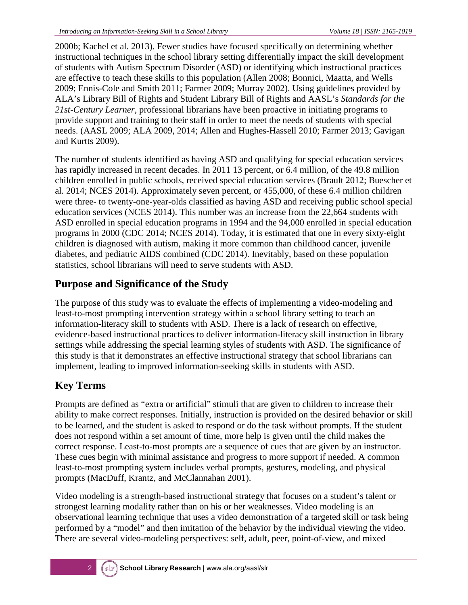2000b; Kachel et al. 2013). Fewer studies have focused specifically on determining whether instructional techniques in the school library setting differentially impact the skill development of students with Autism Spectrum Disorder (ASD) or identifying which instructional practices are effective to teach these skills to this population (Allen 2008; Bonnici, Maatta, and Wells 2009; Ennis-Cole and Smith 2011; Farmer 2009; Murray 2002). Using guidelines provided by ALA's Library Bill of Rights and Student Library Bill of Rights and AASL's *Standards for the 21st-Century Learner*, professional librarians have been proactive in initiating programs to provide support and training to their staff in order to meet the needs of students with special needs. (AASL 2009; ALA 2009, 2014; Allen and Hughes-Hassell 2010; Farmer 2013; Gavigan and Kurtts 2009).

The number of students identified as having ASD and qualifying for special education services has rapidly increased in recent decades. In 2011 13 percent, or 6.4 million, of the 49.8 million children enrolled in public schools, received special education services (Brault 2012; Buescher et al. 2014; NCES 2014). Approximately seven percent, or 455,000, of these 6.4 million children were three- to twenty-one-year-olds classified as having ASD and receiving public school special education services (NCES 2014). This number was an increase from the 22,664 students with ASD enrolled in special education programs in 1994 and the 94,000 enrolled in special education programs in 2000 (CDC 2014; NCES 2014). Today, it is estimated that one in every sixty-eight children is diagnosed with autism, making it more common than childhood cancer, juvenile diabetes, and pediatric AIDS combined (CDC 2014). Inevitably, based on these population statistics, school librarians will need to serve students with ASD.

## **Purpose and Significance of the Study**

The purpose of this study was to evaluate the effects of implementing a video-modeling and least-to-most prompting intervention strategy within a school library setting to teach an information-literacy skill to students with ASD. There is a lack of research on effective, evidence-based instructional practices to deliver information-literacy skill instruction in library settings while addressing the special learning styles of students with ASD. The significance of this study is that it demonstrates an effective instructional strategy that school librarians can implement, leading to improved information-seeking skills in students with ASD.

## **Key Terms**

Prompts are defined as "extra or artificial" stimuli that are given to children to increase their ability to make correct responses. Initially, instruction is provided on the desired behavior or skill to be learned, and the student is asked to respond or do the task without prompts. If the student does not respond within a set amount of time, more help is given until the child makes the correct response. Least-to-most prompts are a sequence of cues that are given by an instructor. These cues begin with minimal assistance and progress to more support if needed. A common least-to-most prompting system includes verbal prompts, gestures, modeling, and physical prompts (MacDuff, Krantz, and McClannahan 2001).

Video modeling is a strength-based instructional strategy that focuses on a student's talent or strongest learning modality rather than on his or her weaknesses. Video modeling is an observational learning technique that uses a video demonstration of a targeted skill or task being performed by a "model" and then imitation of the behavior by the individual viewing the video. There are several video-modeling perspectives: self, adult, peer, point-of-view, and mixed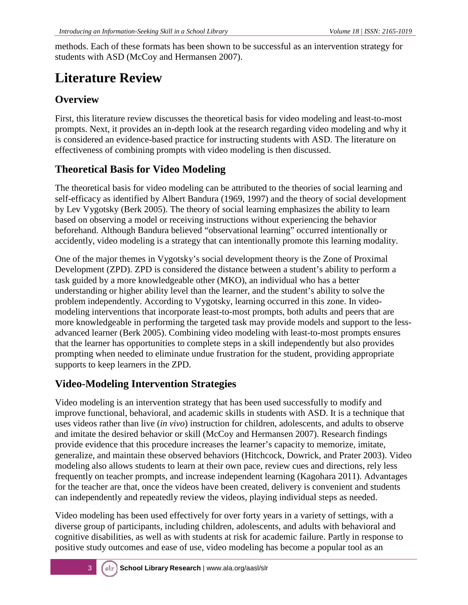methods. Each of these formats has been shown to be successful as an intervention strategy for students with ASD (McCoy and Hermansen 2007).

# **Literature Review**

## **Overview**

First, this literature review discusses the theoretical basis for video modeling and least-to-most prompts. Next, it provides an in-depth look at the research regarding video modeling and why it is considered an evidence-based practice for instructing students with ASD. The literature on effectiveness of combining prompts with video modeling is then discussed.

## **Theoretical Basis for Video Modeling**

The theoretical basis for video modeling can be attributed to the theories of social learning and self-efficacy as identified by Albert Bandura (1969, 1997) and the theory of social development by Lev Vygotsky (Berk 2005). The theory of social learning emphasizes the ability to learn based on observing a model or receiving instructions without experiencing the behavior beforehand. Although Bandura believed "observational learning" occurred intentionally or accidently, video modeling is a strategy that can intentionally promote this learning modality.

One of the major themes in Vygotsky's social development theory is the Zone of Proximal Development (ZPD). ZPD is considered the distance between a student's ability to perform a task guided by a more knowledgeable other (MKO), an individual who has a better understanding or higher ability level than the learner, and the student's ability to solve the problem independently. According to Vygotsky, learning occurred in this zone. In videomodeling interventions that incorporate least-to-most prompts, both adults and peers that are more knowledgeable in performing the targeted task may provide models and support to the lessadvanced learner (Berk 2005). Combining video modeling with least-to-most prompts ensures that the learner has opportunities to complete steps in a skill independently but also provides prompting when needed to eliminate undue frustration for the student, providing appropriate supports to keep learners in the ZPD.

## **Video-Modeling Intervention Strategies**

Video modeling is an intervention strategy that has been used successfully to modify and improve functional, behavioral, and academic skills in students with ASD. It is a technique that uses videos rather than live (*in vivo*) instruction for children, adolescents, and adults to observe and imitate the desired behavior or skill (McCoy and Hermansen 2007). Research findings provide evidence that this procedure increases the learner's capacity to memorize, imitate, generalize, and maintain these observed behaviors (Hitchcock, Dowrick, and Prater 2003). Video modeling also allows students to learn at their own pace, review cues and directions, rely less frequently on teacher prompts, and increase independent learning (Kagohara 2011). Advantages for the teacher are that, once the videos have been created, delivery is convenient and students can independently and repeatedly review the videos, playing individual steps as needed.

Video modeling has been used effectively for over forty years in a variety of settings, with a diverse group of participants, including children, adolescents, and adults with behavioral and cognitive disabilities, as well as with students at risk for academic failure. Partly in response to positive study outcomes and ease of use, video modeling has become a popular tool as an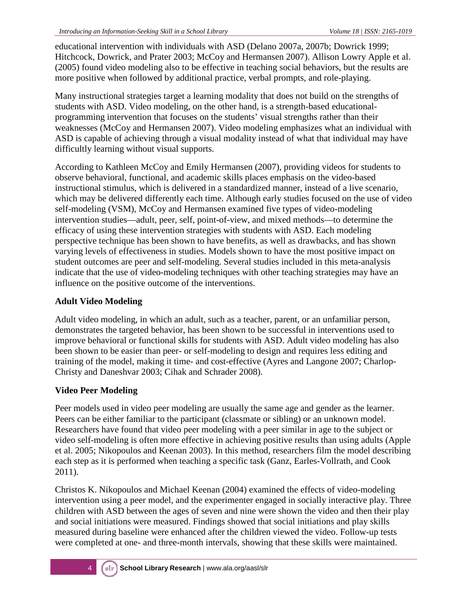educational intervention with individuals with ASD (Delano 2007a, 2007b; Dowrick 1999; Hitchcock, Dowrick, and Prater 2003; McCoy and Hermansen 2007). Allison Lowry Apple et al. (2005) found video modeling also to be effective in teaching social behaviors, but the results are more positive when followed by additional practice, verbal prompts, and role-playing.

Many instructional strategies target a learning modality that does not build on the strengths of students with ASD. Video modeling, on the other hand, is a strength-based educationalprogramming intervention that focuses on the students' visual strengths rather than their weaknesses (McCoy and Hermansen 2007). Video modeling emphasizes what an individual with ASD is capable of achieving through a visual modality instead of what that individual may have difficultly learning without visual supports.

According to Kathleen McCoy and Emily Hermansen (2007), providing videos for students to observe behavioral, functional, and academic skills places emphasis on the video-based instructional stimulus, which is delivered in a standardized manner, instead of a live scenario, which may be delivered differently each time. Although early studies focused on the use of video self-modeling (VSM), McCoy and Hermansen examined five types of video-modeling intervention studies—adult, peer, self, point-of-view, and mixed methods—to determine the efficacy of using these intervention strategies with students with ASD. Each modeling perspective technique has been shown to have benefits, as well as drawbacks, and has shown varying levels of effectiveness in studies. Models shown to have the most positive impact on student outcomes are peer and self-modeling. Several studies included in this meta-analysis indicate that the use of video-modeling techniques with other teaching strategies may have an influence on the positive outcome of the interventions.

#### **Adult Video Modeling**

Adult video modeling, in which an adult, such as a teacher, parent, or an unfamiliar person, demonstrates the targeted behavior, has been shown to be successful in interventions used to improve behavioral or functional skills for students with ASD. Adult video modeling has also been shown to be easier than peer- or self-modeling to design and requires less editing and training of the model, making it time- and cost-effective (Ayres and Langone 2007; Charlop-Christy and Daneshvar 2003; Cihak and Schrader 2008).

#### **Video Peer Modeling**

Peer models used in video peer modeling are usually the same age and gender as the learner. Peers can be either familiar to the participant (classmate or sibling) or an unknown model. Researchers have found that video peer modeling with a peer similar in age to the subject or video self-modeling is often more effective in achieving positive results than using adults (Apple et al. 2005; Nikopoulos and Keenan 2003). In this method, researchers film the model describing each step as it is performed when teaching a specific task (Ganz, Earles-Vollrath, and Cook 2011).

Christos K. Nikopoulos and Michael Keenan (2004) examined the effects of video-modeling intervention using a peer model, and the experimenter engaged in socially interactive play. Three children with ASD between the ages of seven and nine were shown the video and then their play and social initiations were measured. Findings showed that social initiations and play skills measured during baseline were enhanced after the children viewed the video. Follow-up tests were completed at one- and three-month intervals, showing that these skills were maintained.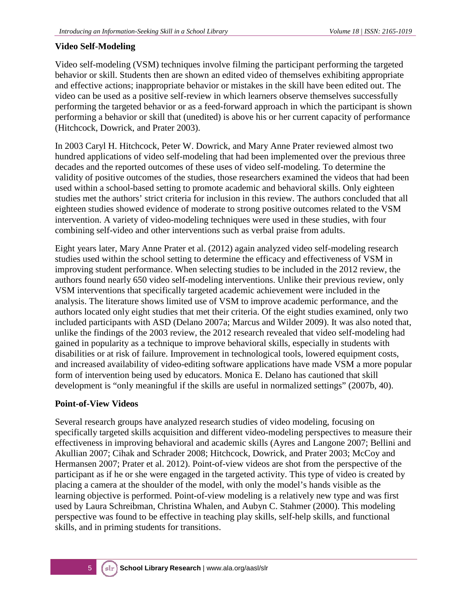#### **Video Self-Modeling**

Video self-modeling (VSM) techniques involve filming the participant performing the targeted behavior or skill. Students then are shown an edited video of themselves exhibiting appropriate and effective actions; inappropriate behavior or mistakes in the skill have been edited out. The video can be used as a positive self-review in which learners observe themselves successfully performing the targeted behavior or as a feed-forward approach in which the participant is shown performing a behavior or skill that (unedited) is above his or her current capacity of performance (Hitchcock, Dowrick, and Prater 2003).

In 2003 Caryl H. Hitchcock, Peter W. Dowrick, and Mary Anne Prater reviewed almost two hundred applications of video self-modeling that had been implemented over the previous three decades and the reported outcomes of these uses of video self-modeling. To determine the validity of positive outcomes of the studies, those researchers examined the videos that had been used within a school-based setting to promote academic and behavioral skills. Only eighteen studies met the authors' strict criteria for inclusion in this review. The authors concluded that all eighteen studies showed evidence of moderate to strong positive outcomes related to the VSM intervention. A variety of video-modeling techniques were used in these studies, with four combining self-video and other interventions such as verbal praise from adults.

Eight years later, Mary Anne Prater et al. (2012) again analyzed video self-modeling research studies used within the school setting to determine the efficacy and effectiveness of VSM in improving student performance. When selecting studies to be included in the 2012 review, the authors found nearly 650 video self-modeling interventions. Unlike their previous review, only VSM interventions that specifically targeted academic achievement were included in the analysis. The literature shows limited use of VSM to improve academic performance, and the authors located only eight studies that met their criteria. Of the eight studies examined, only two included participants with ASD (Delano 2007a; Marcus and Wilder 2009). It was also noted that, unlike the findings of the 2003 review, the 2012 research revealed that video self-modeling had gained in popularity as a technique to improve behavioral skills, especially in students with disabilities or at risk of failure. Improvement in technological tools, lowered equipment costs, and increased availability of video-editing software applications have made VSM a more popular form of intervention being used by educators. Monica E. Delano has cautioned that skill development is "only meaningful if the skills are useful in normalized settings" (2007b, 40).

#### **Point-of-View Videos**

Several research groups have analyzed research studies of video modeling, focusing on specifically targeted skills acquisition and different video-modeling perspectives to measure their effectiveness in improving behavioral and academic skills (Ayres and Langone 2007; Bellini and Akullian 2007; Cihak and Schrader 2008; Hitchcock, Dowrick, and Prater 2003; McCoy and Hermansen 2007; Prater et al. 2012). Point-of-view videos are shot from the perspective of the participant as if he or she were engaged in the targeted activity. This type of video is created by placing a camera at the shoulder of the model, with only the model's hands visible as the learning objective is performed. Point-of-view modeling is a relatively new type and was first used by Laura Schreibman, Christina Whalen, and Aubyn C. Stahmer (2000). This modeling perspective was found to be effective in teaching play skills, self-help skills, and functional skills, and in priming students for transitions.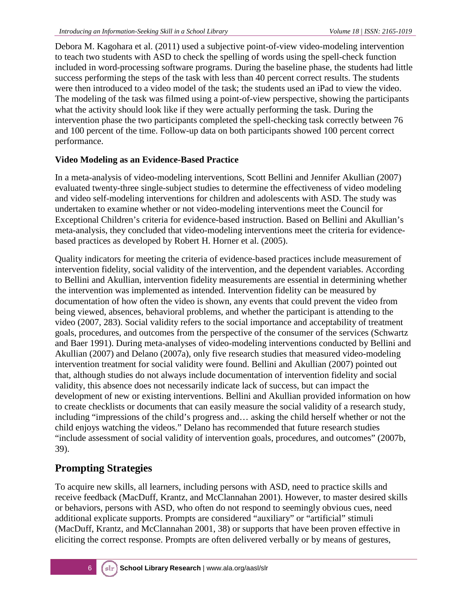Debora M. Kagohara et al. (2011) used a subjective point-of-view video-modeling intervention to teach two students with ASD to check the spelling of words using the spell-check function included in word-processing software programs. During the baseline phase, the students had little success performing the steps of the task with less than 40 percent correct results. The students were then introduced to a video model of the task; the students used an iPad to view the video. The modeling of the task was filmed using a point-of-view perspective, showing the participants what the activity should look like if they were actually performing the task. During the intervention phase the two participants completed the spell-checking task correctly between 76 and 100 percent of the time. Follow-up data on both participants showed 100 percent correct performance.

#### **Video Modeling as an Evidence-Based Practice**

In a meta-analysis of video-modeling interventions, Scott Bellini and Jennifer Akullian (2007) evaluated twenty-three single-subject studies to determine the effectiveness of video modeling and video self-modeling interventions for children and adolescents with ASD. The study was undertaken to examine whether or not video-modeling interventions meet the Council for Exceptional Children's criteria for evidence-based instruction. Based on Bellini and Akullian's meta-analysis, they concluded that video-modeling interventions meet the criteria for evidencebased practices as developed by Robert H. Horner et al. (2005).

Quality indicators for meeting the criteria of evidence-based practices include measurement of intervention fidelity, social validity of the intervention, and the dependent variables. According to Bellini and Akullian, intervention fidelity measurements are essential in determining whether the intervention was implemented as intended. Intervention fidelity can be measured by documentation of how often the video is shown, any events that could prevent the video from being viewed, absences, behavioral problems, and whether the participant is attending to the video (2007, 283). Social validity refers to the social importance and acceptability of treatment goals, procedures, and outcomes from the perspective of the consumer of the services (Schwartz and Baer 1991). During meta-analyses of video-modeling interventions conducted by Bellini and Akullian (2007) and Delano (2007a), only five research studies that measured video-modeling intervention treatment for social validity were found. Bellini and Akullian (2007) pointed out that, although studies do not always include documentation of intervention fidelity and social validity, this absence does not necessarily indicate lack of success, but can impact the development of new or existing interventions. Bellini and Akullian provided information on how to create checklists or documents that can easily measure the social validity of a research study, including "impressions of the child's progress and… asking the child herself whether or not the child enjoys watching the videos." Delano has recommended that future research studies "include assessment of social validity of intervention goals, procedures, and outcomes" (2007b, 39).

## **Prompting Strategies**

To acquire new skills, all learners, including persons with ASD, need to practice skills and receive feedback (MacDuff, Krantz, and McClannahan 2001). However, to master desired skills or behaviors, persons with ASD, who often do not respond to seemingly obvious cues, need additional explicate supports. Prompts are considered "auxiliary" or "artificial" stimuli (MacDuff, Krantz, and McClannahan 2001, 38) or supports that have been proven effective in eliciting the correct response. Prompts are often delivered verbally or by means of gestures,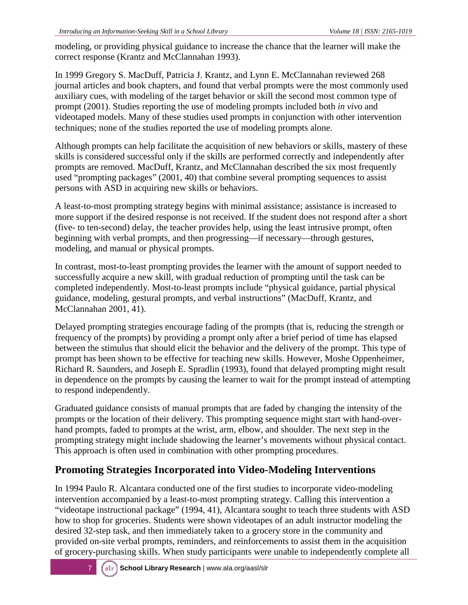modeling, or providing physical guidance to increase the chance that the learner will make the correct response (Krantz and McClannahan 1993).

In 1999 Gregory S. MacDuff, Patricia J. Krantz, and Lynn E. McClannahan reviewed 268 journal articles and book chapters, and found that verbal prompts were the most commonly used auxiliary cues, with modeling of the target behavior or skill the second most common type of prompt (2001). Studies reporting the use of modeling prompts included both *in vivo* and videotaped models. Many of these studies used prompts in conjunction with other intervention techniques; none of the studies reported the use of modeling prompts alone.

Although prompts can help facilitate the acquisition of new behaviors or skills, mastery of these skills is considered successful only if the skills are performed correctly and independently after prompts are removed. MacDuff, Krantz, and McClannahan described the six most frequently used "prompting packages" (2001, 40) that combine several prompting sequences to assist persons with ASD in acquiring new skills or behaviors.

A least-to-most prompting strategy begins with minimal assistance; assistance is increased to more support if the desired response is not received. If the student does not respond after a short (five- to ten-second) delay, the teacher provides help, using the least intrusive prompt, often beginning with verbal prompts, and then progressing—if necessary—through gestures, modeling, and manual or physical prompts.

In contrast, most-to-least prompting provides the learner with the amount of support needed to successfully acquire a new skill, with gradual reduction of prompting until the task can be completed independently. Most-to-least prompts include "physical guidance, partial physical guidance, modeling, gestural prompts, and verbal instructions" (MacDuff, Krantz, and McClannahan 2001, 41).

Delayed prompting strategies encourage fading of the prompts (that is, reducing the strength or frequency of the prompts) by providing a prompt only after a brief period of time has elapsed between the stimulus that should elicit the behavior and the delivery of the prompt. This type of prompt has been shown to be effective for teaching new skills. However, Moshe Oppenheimer, Richard R. Saunders, and Joseph E. Spradlin (1993), found that delayed prompting might result in dependence on the prompts by causing the learner to wait for the prompt instead of attempting to respond independently.

Graduated guidance consists of manual prompts that are faded by changing the intensity of the prompts or the location of their delivery. This prompting sequence might start with hand-overhand prompts, faded to prompts at the wrist, arm, elbow, and shoulder. The next step in the prompting strategy might include shadowing the learner's movements without physical contact. This approach is often used in combination with other prompting procedures.

## **Promoting Strategies Incorporated into Video-Modeling Interventions**

In 1994 Paulo R. Alcantara conducted one of the first studies to incorporate video-modeling intervention accompanied by a least-to-most prompting strategy. Calling this intervention a "videotape instructional package" (1994, 41), Alcantara sought to teach three students with ASD how to shop for groceries. Students were shown videotapes of an adult instructor modeling the desired 32-step task, and then immediately taken to a grocery store in the community and provided on-site verbal prompts, reminders, and reinforcements to assist them in the acquisition of grocery-purchasing skills. When study participants were unable to independently complete all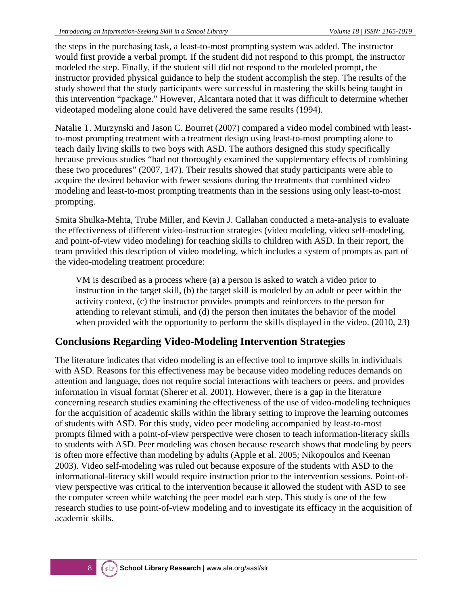the steps in the purchasing task, a least-to-most prompting system was added. The instructor would first provide a verbal prompt. If the student did not respond to this prompt, the instructor modeled the step. Finally, if the student still did not respond to the modeled prompt, the instructor provided physical guidance to help the student accomplish the step. The results of the study showed that the study participants were successful in mastering the skills being taught in this intervention "package." However, Alcantara noted that it was difficult to determine whether videotaped modeling alone could have delivered the same results (1994).

Natalie T. Murzynski and Jason C. Bourret (2007) compared a video model combined with leastto-most prompting treatment with a treatment design using least-to-most prompting alone to teach daily living skills to two boys with ASD. The authors designed this study specifically because previous studies "had not thoroughly examined the supplementary effects of combining these two procedures" (2007, 147). Their results showed that study participants were able to acquire the desired behavior with fewer sessions during the treatments that combined video modeling and least-to-most prompting treatments than in the sessions using only least-to-most prompting.

Smita Shulka-Mehta, Trube Miller, and Kevin J. Callahan conducted a meta-analysis to evaluate the effectiveness of different video-instruction strategies (video modeling, video self-modeling, and point-of-view video modeling) for teaching skills to children with ASD. In their report, the team provided this description of video modeling, which includes a system of prompts as part of the video-modeling treatment procedure:

VM is described as a process where (a) a person is asked to watch a video prior to instruction in the target skill, (b) the target skill is modeled by an adult or peer within the activity context, (c) the instructor provides prompts and reinforcers to the person for attending to relevant stimuli, and (d) the person then imitates the behavior of the model when provided with the opportunity to perform the skills displayed in the video. (2010, 23)

## **Conclusions Regarding Video-Modeling Intervention Strategies**

The literature indicates that video modeling is an effective tool to improve skills in individuals with ASD. Reasons for this effectiveness may be because video modeling reduces demands on attention and language, does not require social interactions with teachers or peers, and provides information in visual format (Sherer et al. 2001). However, there is a gap in the literature concerning research studies examining the effectiveness of the use of video-modeling techniques for the acquisition of academic skills within the library setting to improve the learning outcomes of students with ASD. For this study, video peer modeling accompanied by least-to-most prompts filmed with a point-of-view perspective were chosen to teach information-literacy skills to students with ASD. Peer modeling was chosen because research shows that modeling by peers is often more effective than modeling by adults (Apple et al. 2005; Nikopoulos and Keenan 2003). Video self-modeling was ruled out because exposure of the students with ASD to the informational-literacy skill would require instruction prior to the intervention sessions. Point-ofview perspective was critical to the intervention because it allowed the student with ASD to see the computer screen while watching the peer model each step. This study is one of the few research studies to use point-of-view modeling and to investigate its efficacy in the acquisition of academic skills.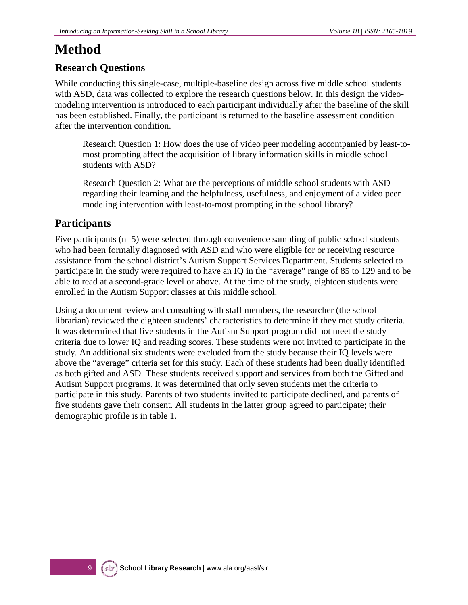# **Method**

## **Research Questions**

While conducting this single-case, multiple-baseline design across five middle school students with ASD, data was collected to explore the research questions below. In this design the videomodeling intervention is introduced to each participant individually after the baseline of the skill has been established. Finally, the participant is returned to the baseline assessment condition after the intervention condition.

Research Question 1: How does the use of video peer modeling accompanied by least-tomost prompting affect the acquisition of library information skills in middle school students with ASD?

Research Question 2: What are the perceptions of middle school students with ASD regarding their learning and the helpfulness, usefulness, and enjoyment of a video peer modeling intervention with least-to-most prompting in the school library?

## **Participants**

Five participants (n=5) were selected through convenience sampling of public school students who had been formally diagnosed with ASD and who were eligible for or receiving resource assistance from the school district's Autism Support Services Department. Students selected to participate in the study were required to have an IQ in the "average" range of 85 to 129 and to be able to read at a second-grade level or above. At the time of the study, eighteen students were enrolled in the Autism Support classes at this middle school.

Using a document review and consulting with staff members, the researcher (the school librarian) reviewed the eighteen students' characteristics to determine if they met study criteria. It was determined that five students in the Autism Support program did not meet the study criteria due to lower IQ and reading scores. These students were not invited to participate in the study. An additional six students were excluded from the study because their IQ levels were above the "average" criteria set for this study. Each of these students had been dually identified as both gifted and ASD. These students received support and services from both the Gifted and Autism Support programs. It was determined that only seven students met the criteria to participate in this study. Parents of two students invited to participate declined, and parents of five students gave their consent. All students in the latter group agreed to participate; their demographic profile is in table 1.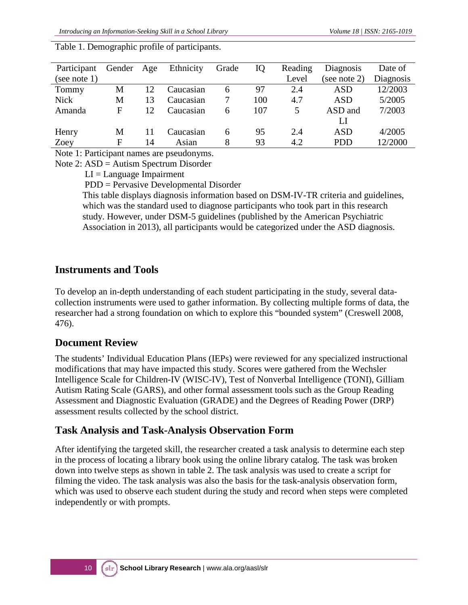| Participant  | Gender | Age | Ethnicity | Grade | IQ  | Reading | Diagnosis    | Date of   |
|--------------|--------|-----|-----------|-------|-----|---------|--------------|-----------|
| (see note 1) |        |     |           |       |     | Level   | (see note 2) | Diagnosis |
| Tommy        | М      | 12  | Caucasian | 6     | 97  | 2.4     | ASD          | 12/2003   |
| <b>Nick</b>  | M      | 13  | Caucasian |       | 100 | 4.7     | ASD          | 5/2005    |
| Amanda       | F      | 12. | Caucasian | 6     | 107 | 5       | ASD and      | 7/2003    |
|              |        |     |           |       |     |         | LI           |           |
| Henry        | M      | 11  | Caucasian | 6     | 95  | 2.4     | <b>ASD</b>   | 4/2005    |
| Zoey         | F      | 14  | Asian     | 8     | 93  | 4.2     | <b>PDD</b>   | 12/2000   |

Table 1. Demographic profile of participants.

Note 1: Participant names are pseudonyms.

Note 2: ASD = Autism Spectrum Disorder

 $LI =$ Language Impairment

PDD = Pervasive Developmental Disorder

This table displays diagnosis information based on DSM-IV-TR criteria and guidelines, which was the standard used to diagnose participants who took part in this research study. However, under DSM-5 guidelines (published by the American Psychiatric Association in 2013), all participants would be categorized under the ASD diagnosis.

#### **Instruments and Tools**

To develop an in-depth understanding of each student participating in the study, several datacollection instruments were used to gather information. By collecting multiple forms of data, the researcher had a strong foundation on which to explore this "bounded system" (Creswell 2008, 476).

#### **Document Review**

The students' Individual Education Plans (IEPs) were reviewed for any specialized instructional modifications that may have impacted this study. Scores were gathered from the Wechsler Intelligence Scale for Children-IV (WISC-IV), Test of Nonverbal Intelligence (TONI), Gilliam Autism Rating Scale (GARS), and other formal assessment tools such as the Group Reading Assessment and Diagnostic Evaluation (GRADE) and the Degrees of Reading Power (DRP) assessment results collected by the school district.

## **Task Analysis and Task-Analysis Observation Form**

After identifying the targeted skill, the researcher created a task analysis to determine each step in the process of locating a library book using the online library catalog. The task was broken down into twelve steps as shown in table 2. The task analysis was used to create a script for filming the video. The task analysis was also the basis for the task-analysis observation form, which was used to observe each student during the study and record when steps were completed independently or with prompts.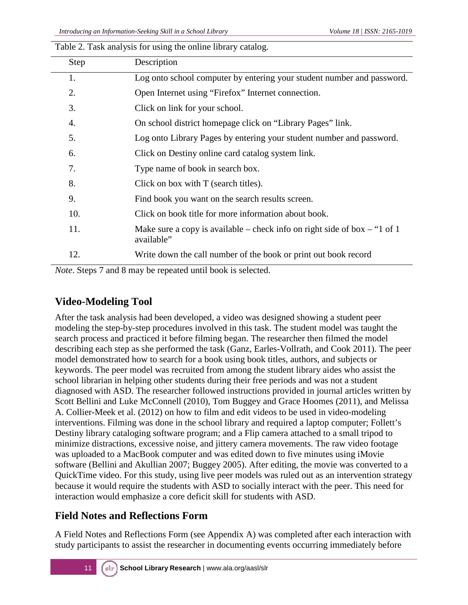| <b>Step</b> | Description                                                                             |
|-------------|-----------------------------------------------------------------------------------------|
| 1.          | Log onto school computer by entering your student number and password.                  |
| 2.          | Open Internet using "Firefox" Internet connection.                                      |
| 3.          | Click on link for your school.                                                          |
| 4.          | On school district homepage click on "Library Pages" link.                              |
| 5.          | Log onto Library Pages by entering your student number and password.                    |
| 6.          | Click on Destiny online card catalog system link.                                       |
| 7.          | Type name of book in search box.                                                        |
| 8.          | Click on box with T (search titles).                                                    |
| 9.          | Find book you want on the search results screen.                                        |
| 10.         | Click on book title for more information about book.                                    |
| 11.         | Make sure a copy is available – check info on right side of box – "1 of 1<br>available" |
| 12.         | Write down the call number of the book or print out book record                         |
|             |                                                                                         |

Table 2. Task analysis for using the online library catalog.

*Note*. Steps 7 and 8 may be repeated until book is selected.

### **Video-Modeling Tool**

After the task analysis had been developed, a video was designed showing a student peer modeling the step-by-step procedures involved in this task. The student model was taught the search process and practiced it before filming began. The researcher then filmed the model describing each step as she performed the task (Ganz, Earles-Vollrath, and Cook 2011). The peer model demonstrated how to search for a book using book titles, authors, and subjects or keywords. The peer model was recruited from among the student library aides who assist the school librarian in helping other students during their free periods and was not a student diagnosed with ASD. The researcher followed instructions provided in journal articles written by Scott Bellini and Luke McConnell (2010), Tom Buggey and Grace Hoomes (2011), and Melissa A. Collier-Meek et al. (2012) on how to film and edit videos to be used in video-modeling interventions. Filming was done in the school library and required a laptop computer; Follett's Destiny library cataloging software program; and a Flip camera attached to a small tripod to minimize distractions, excessive noise, and jittery camera movements. The raw video footage was uploaded to a MacBook computer and was edited down to five minutes using iMovie software (Bellini and Akullian 2007; Buggey 2005). After editing, the movie was converted to a QuickTime video. For this study, using live peer models was ruled out as an intervention strategy because it would require the students with ASD to socially interact with the peer. This need for interaction would emphasize a core deficit skill for students with ASD.

## **Field Notes and Reflections Form**

A Field Notes and Reflections Form (see Appendix A) was completed after each interaction with study participants to assist the researcher in documenting events occurring immediately before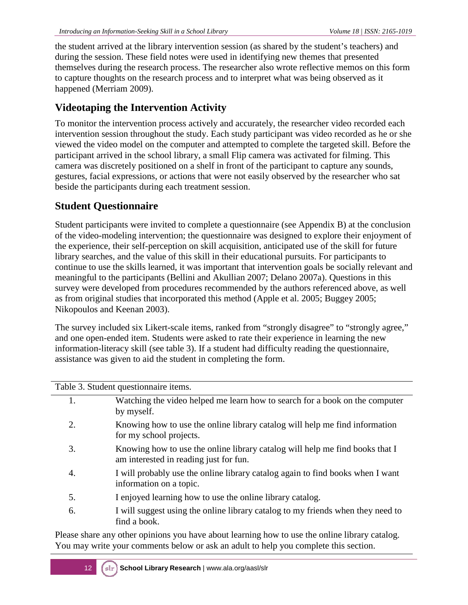the student arrived at the library intervention session (as shared by the student's teachers) and during the session. These field notes were used in identifying new themes that presented themselves during the research process. The researcher also wrote reflective memos on this form to capture thoughts on the research process and to interpret what was being observed as it happened (Merriam 2009).

## **Videotaping the Intervention Activity**

To monitor the intervention process actively and accurately, the researcher video recorded each intervention session throughout the study. Each study participant was video recorded as he or she viewed the video model on the computer and attempted to complete the targeted skill. Before the participant arrived in the school library, a small Flip camera was activated for filming. This camera was discretely positioned on a shelf in front of the participant to capture any sounds, gestures, facial expressions, or actions that were not easily observed by the researcher who sat beside the participants during each treatment session.

## **Student Questionnaire**

Student participants were invited to complete a questionnaire (see Appendix B) at the conclusion of the video-modeling intervention; the questionnaire was designed to explore their enjoyment of the experience, their self-perception on skill acquisition, anticipated use of the skill for future library searches, and the value of this skill in their educational pursuits. For participants to continue to use the skills learned, it was important that intervention goals be socially relevant and meaningful to the participants (Bellini and Akullian 2007; Delano 2007a). Questions in this survey were developed from procedures recommended by the authors referenced above, as well as from original studies that incorporated this method (Apple et al. 2005; Buggey 2005; Nikopoulos and Keenan 2003).

The survey included six Likert-scale items, ranked from "strongly disagree" to "strongly agree," and one open-ended item. Students were asked to rate their experience in learning the new information-literacy skill (see table 3). If a student had difficulty reading the questionnaire, assistance was given to aid the student in completing the form.

Table 3. Student questionnaire items.

| 1. | Watching the video helped me learn how to search for a book on the computer<br>by myself.                              |
|----|------------------------------------------------------------------------------------------------------------------------|
| 2. | Knowing how to use the online library catalog will help me find information<br>for my school projects.                 |
| 3. | Knowing how to use the online library catalog will help me find books that I<br>am interested in reading just for fun. |
| 4. | I will probably use the online library catalog again to find books when I want<br>information on a topic.              |
| 5. | I enjoyed learning how to use the online library catalog.                                                              |
| 6. | I will suggest using the online library catalog to my friends when they need to<br>find a book.                        |

Please share any other opinions you have about learning how to use the online library catalog. You may write your comments below or ask an adult to help you complete this section.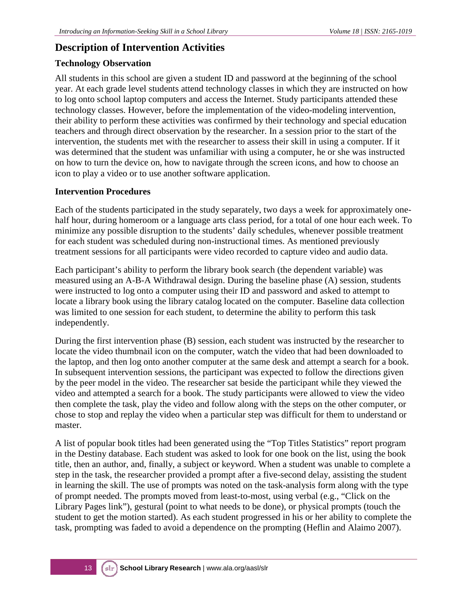#### **Description of Intervention Activities**

#### **Technology Observation**

All students in this school are given a student ID and password at the beginning of the school year. At each grade level students attend technology classes in which they are instructed on how to log onto school laptop computers and access the Internet. Study participants attended these technology classes. However, before the implementation of the video-modeling intervention, their ability to perform these activities was confirmed by their technology and special education teachers and through direct observation by the researcher. In a session prior to the start of the intervention, the students met with the researcher to assess their skill in using a computer. If it was determined that the student was unfamiliar with using a computer, he or she was instructed on how to turn the device on, how to navigate through the screen icons, and how to choose an icon to play a video or to use another software application.

#### **Intervention Procedures**

Each of the students participated in the study separately, two days a week for approximately onehalf hour, during homeroom or a language arts class period, for a total of one hour each week. To minimize any possible disruption to the students' daily schedules, whenever possible treatment for each student was scheduled during non-instructional times. As mentioned previously treatment sessions for all participants were video recorded to capture video and audio data.

Each participant's ability to perform the library book search (the dependent variable) was measured using an A-B-A Withdrawal design. During the baseline phase (A) session, students were instructed to log onto a computer using their ID and password and asked to attempt to locate a library book using the library catalog located on the computer. Baseline data collection was limited to one session for each student, to determine the ability to perform this task independently.

During the first intervention phase (B) session, each student was instructed by the researcher to locate the video thumbnail icon on the computer, watch the video that had been downloaded to the laptop, and then log onto another computer at the same desk and attempt a search for a book. In subsequent intervention sessions, the participant was expected to follow the directions given by the peer model in the video. The researcher sat beside the participant while they viewed the video and attempted a search for a book. The study participants were allowed to view the video then complete the task, play the video and follow along with the steps on the other computer, or chose to stop and replay the video when a particular step was difficult for them to understand or master.

A list of popular book titles had been generated using the "Top Titles Statistics" report program in the Destiny database. Each student was asked to look for one book on the list, using the book title, then an author, and, finally, a subject or keyword. When a student was unable to complete a step in the task, the researcher provided a prompt after a five-second delay, assisting the student in learning the skill. The use of prompts was noted on the task-analysis form along with the type of prompt needed. The prompts moved from least-to-most, using verbal (e.g., "Click on the Library Pages link"), gestural (point to what needs to be done), or physical prompts (touch the student to get the motion started). As each student progressed in his or her ability to complete the task, prompting was faded to avoid a dependence on the prompting (Heflin and Alaimo 2007).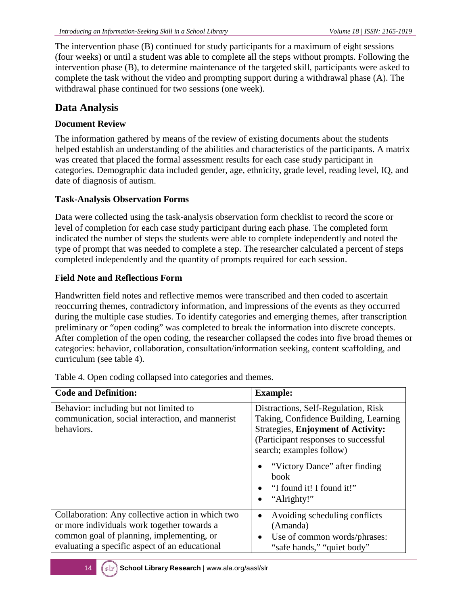The intervention phase (B) continued for study participants for a maximum of eight sessions (four weeks) or until a student was able to complete all the steps without prompts. Following the intervention phase (B), to determine maintenance of the targeted skill, participants were asked to complete the task without the video and prompting support during a withdrawal phase (A). The withdrawal phase continued for two sessions (one week).

## **Data Analysis**

#### **Document Review**

The information gathered by means of the review of existing documents about the students helped establish an understanding of the abilities and characteristics of the participants. A matrix was created that placed the formal assessment results for each case study participant in categories. Demographic data included gender, age, ethnicity, grade level, reading level, IQ, and date of diagnosis of autism.

#### **Task-Analysis Observation Forms**

Data were collected using the task-analysis observation form checklist to record the score or level of completion for each case study participant during each phase. The completed form indicated the number of steps the students were able to complete independently and noted the type of prompt that was needed to complete a step. The researcher calculated a percent of steps completed independently and the quantity of prompts required for each session.

#### **Field Note and Reflections Form**

Handwritten field notes and reflective memos were transcribed and then coded to ascertain reoccurring themes, contradictory information, and impressions of the events as they occurred during the multiple case studies. To identify categories and emerging themes, after transcription preliminary or "open coding" was completed to break the information into discrete concepts. After completion of the open coding, the researcher collapsed the codes into five broad themes or categories: behavior, collaboration, consultation/information seeking, content scaffolding, and curriculum (see table 4).

| <b>Code and Definition:</b>                                                                                                                                                                     | <b>Example:</b>                                                                                                                                                                                                                                                                     |
|-------------------------------------------------------------------------------------------------------------------------------------------------------------------------------------------------|-------------------------------------------------------------------------------------------------------------------------------------------------------------------------------------------------------------------------------------------------------------------------------------|
| Behavior: including but not limited to<br>communication, social interaction, and mannerist<br>behaviors.                                                                                        | Distractions, Self-Regulation, Risk<br>Taking, Confidence Building, Learning<br><b>Strategies, Enjoyment of Activity:</b><br>(Participant responses to successful)<br>search; examples follow)<br>"Victory Dance" after finding<br>book<br>"I found it! I found it!"<br>"Alrighty!" |
| Collaboration: Any collective action in which two<br>or more individuals work together towards a<br>common goal of planning, implementing, or<br>evaluating a specific aspect of an educational | Avoiding scheduling conflicts<br>(Amanda)<br>Use of common words/phrases:<br>$\bullet$<br>"safe hands," "quiet body"                                                                                                                                                                |

Table 4. Open coding collapsed into categories and themes.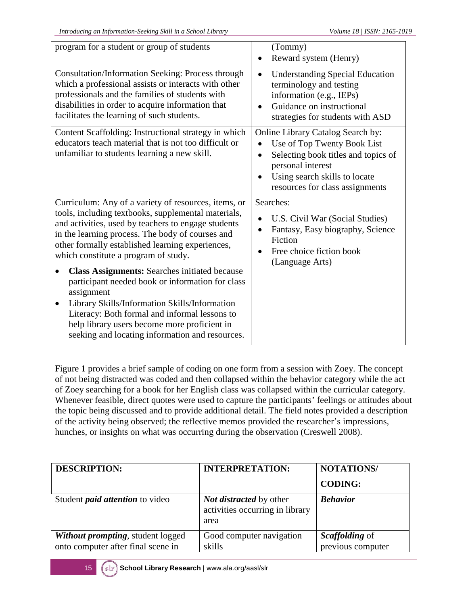| program for a student or group of students                                                                                                                                                                                                                                                                                               | (Tommy)<br>Reward system (Henry)                                                                                                                                                                 |
|------------------------------------------------------------------------------------------------------------------------------------------------------------------------------------------------------------------------------------------------------------------------------------------------------------------------------------------|--------------------------------------------------------------------------------------------------------------------------------------------------------------------------------------------------|
| <b>Consultation/Information Seeking: Process through</b><br>which a professional assists or interacts with other<br>professionals and the families of students with<br>disabilities in order to acquire information that<br>facilitates the learning of such students.                                                                   | <b>Understanding Special Education</b><br>$\bullet$<br>terminology and testing<br>information (e.g., IEPs)<br>Guidance on instructional<br>strategies for students with ASD                      |
| Content Scaffolding: Instructional strategy in which<br>educators teach material that is not too difficult or<br>unfamiliar to students learning a new skill.                                                                                                                                                                            | Online Library Catalog Search by:<br>Use of Top Twenty Book List<br>Selecting book titles and topics of<br>personal interest<br>Using search skills to locate<br>resources for class assignments |
| Curriculum: Any of a variety of resources, items, or<br>tools, including textbooks, supplemental materials,<br>and activities, used by teachers to engage students<br>in the learning process. The body of courses and<br>other formally established learning experiences,<br>which constitute a program of study.                       | Searches:<br>U.S. Civil War (Social Studies)<br>Fantasy, Easy biography, Science<br>Fiction<br>Free choice fiction book<br>(Language Arts)                                                       |
| <b>Class Assignments: Searches initiated because</b><br>participant needed book or information for class<br>assignment<br>Library Skills/Information Skills/Information<br>$\bullet$<br>Literacy: Both formal and informal lessons to<br>help library users become more proficient in<br>seeking and locating information and resources. |                                                                                                                                                                                                  |

Figure 1 provides a brief sample of coding on one form from a session with Zoey. The concept of not being distracted was coded and then collapsed within the behavior category while the act of Zoey searching for a book for her English class was collapsed within the curricular category. Whenever feasible, direct quotes were used to capture the participants' feelings or attitudes about the topic being discussed and to provide additional detail. The field notes provided a description of the activity being observed; the reflective memos provided the researcher's impressions, hunches, or insights on what was occurring during the observation (Creswell 2008).

| <b>DESCRIPTION:</b>                                                            | <b>INTERPRETATION:</b>                                                    | <b>NOTATIONS/</b>                   |
|--------------------------------------------------------------------------------|---------------------------------------------------------------------------|-------------------------------------|
|                                                                                |                                                                           | <b>CODING:</b>                      |
| Student <i>paid attention</i> to video                                         | <i>Not distracted</i> by other<br>activities occurring in library<br>area | <b>Behavior</b>                     |
| <b>Without prompting, student logged</b><br>onto computer after final scene in | Good computer navigation<br>skills                                        | Scaffolding of<br>previous computer |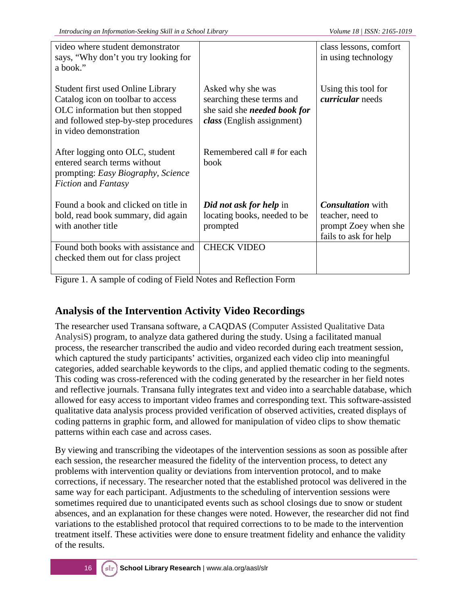| video where student demonstrator<br>says, "Why don't you try looking for<br>a book."                                                                                         |                                                                                                                     | class lessons, comfort<br>in using technology                                                 |
|------------------------------------------------------------------------------------------------------------------------------------------------------------------------------|---------------------------------------------------------------------------------------------------------------------|-----------------------------------------------------------------------------------------------|
| Student first used Online Library<br>Catalog icon on toolbar to access<br>OLC information but then stopped<br>and followed step-by-step procedures<br>in video demonstration | Asked why she was<br>searching these terms and<br>she said she <i>needed book for</i><br>class (English assignment) | Using this tool for<br><i>curricular</i> needs                                                |
| After logging onto OLC, student<br>entered search terms without<br>prompting: Easy Biography, Science<br><i>Fiction</i> and <i>Fantasy</i>                                   | Remembered call # for each<br>book                                                                                  |                                                                                               |
| Found a book and clicked on title in<br>bold, read book summary, did again<br>with another title                                                                             | Did not ask for help in<br>locating books, needed to be<br>prompted                                                 | <b>Consultation</b> with<br>teacher, need to<br>prompt Zoey when she<br>fails to ask for help |
| Found both books with assistance and<br>checked them out for class project                                                                                                   | <b>CHECK VIDEO</b>                                                                                                  |                                                                                               |

Figure 1. A sample of coding of Field Notes and Reflection Form

## **Analysis of the Intervention Activity Video Recordings**

The researcher used Transana software, a CAQDAS (Computer Assisted Qualitative Data AnalysiS) program, to analyze data gathered during the study. Using a facilitated manual process, the researcher transcribed the audio and video recorded during each treatment session, which captured the study participants' activities, organized each video clip into meaningful categories, added searchable keywords to the clips, and applied thematic coding to the segments. This coding was cross-referenced with the coding generated by the researcher in her field notes and reflective journals. Transana fully integrates text and video into a searchable database, which allowed for easy access to important video frames and corresponding text. This software-assisted qualitative data analysis process provided verification of observed activities, created displays of coding patterns in graphic form, and allowed for manipulation of video clips to show thematic patterns within each case and across cases.

By viewing and transcribing the videotapes of the intervention sessions as soon as possible after each session, the researcher measured the fidelity of the intervention process, to detect any problems with intervention quality or deviations from intervention protocol, and to make corrections, if necessary. The researcher noted that the established protocol was delivered in the same way for each participant. Adjustments to the scheduling of intervention sessions were sometimes required due to unanticipated events such as school closings due to snow or student absences, and an explanation for these changes were noted. However, the researcher did not find variations to the established protocol that required corrections to to be made to the intervention treatment itself. These activities were done to ensure treatment fidelity and enhance the validity of the results.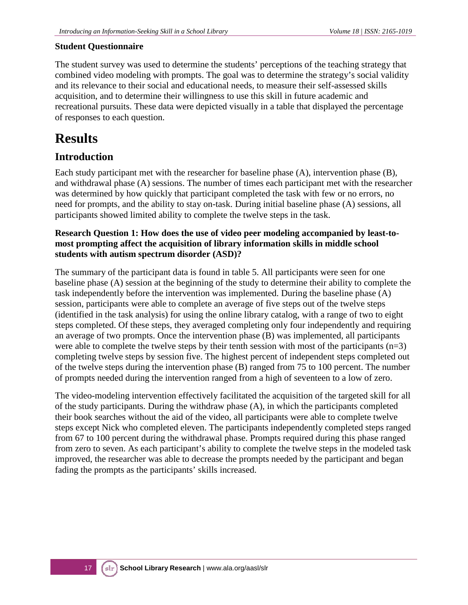#### **Student Questionnaire**

The student survey was used to determine the students' perceptions of the teaching strategy that combined video modeling with prompts. The goal was to determine the strategy's social validity and its relevance to their social and educational needs, to measure their self-assessed skills acquisition, and to determine their willingness to use this skill in future academic and recreational pursuits. These data were depicted visually in a table that displayed the percentage of responses to each question.

# **Results**

## **Introduction**

Each study participant met with the researcher for baseline phase (A), intervention phase (B), and withdrawal phase (A) sessions. The number of times each participant met with the researcher was determined by how quickly that participant completed the task with few or no errors, no need for prompts, and the ability to stay on-task. During initial baseline phase (A) sessions, all participants showed limited ability to complete the twelve steps in the task.

#### **Research Question 1: How does the use of video peer modeling accompanied by least-tomost prompting affect the acquisition of library information skills in middle school students with autism spectrum disorder (ASD)?**

The summary of the participant data is found in table 5. All participants were seen for one baseline phase (A) session at the beginning of the study to determine their ability to complete the task independently before the intervention was implemented. During the baseline phase (A) session, participants were able to complete an average of five steps out of the twelve steps (identified in the task analysis) for using the online library catalog, with a range of two to eight steps completed. Of these steps, they averaged completing only four independently and requiring an average of two prompts. Once the intervention phase (B) was implemented, all participants were able to complete the twelve steps by their tenth session with most of the participants  $(n=3)$ completing twelve steps by session five. The highest percent of independent steps completed out of the twelve steps during the intervention phase (B) ranged from 75 to 100 percent. The number of prompts needed during the intervention ranged from a high of seventeen to a low of zero.

The video-modeling intervention effectively facilitated the acquisition of the targeted skill for all of the study participants. During the withdraw phase (A), in which the participants completed their book searches without the aid of the video, all participants were able to complete twelve steps except Nick who completed eleven. The participants independently completed steps ranged from 67 to 100 percent during the withdrawal phase. Prompts required during this phase ranged from zero to seven. As each participant's ability to complete the twelve steps in the modeled task improved, the researcher was able to decrease the prompts needed by the participant and began fading the prompts as the participants' skills increased.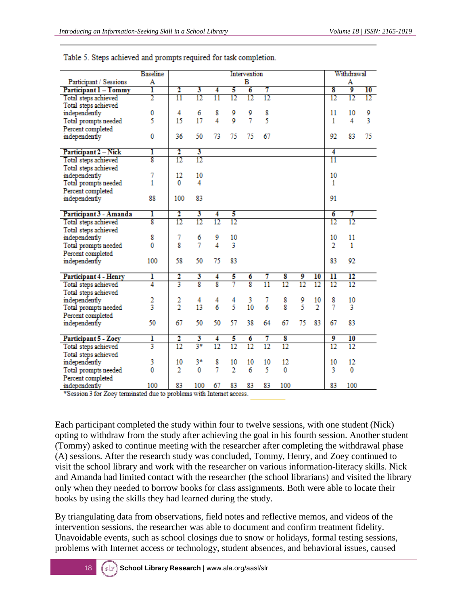| в<br>Participant / Sessions<br>A<br>A<br>2<br>ı<br>3<br>5<br>7<br>8<br>9<br>$\overline{10}$<br>6<br>Participant 1 - Tommy<br>4<br>$\overline{2}$<br>$\overline{11}$<br>$\overline{12}$<br>$\overline{12}$<br>$\overline{12}$<br>$\overline{11}$<br>12<br>$12 \,$<br>$12 \$<br>12<br>Total steps achieved<br>Total steps achieved<br>0<br>4<br>6<br>8<br>9<br>8<br>11<br>10<br>9<br>independently<br>9<br>5<br>9<br>7<br>5<br>4<br>3<br>17<br>15<br>4<br>1<br>Total prompts needed<br>Percent completed<br>0<br>36<br>92<br>75<br>50<br>73<br>75<br>75<br>67<br>83<br>independently<br>2<br>ı<br>3<br>4<br>Participant 2 - Nick<br>8<br>12<br>$\overline{12}$<br>11<br>Total steps achieved<br>Total steps achieved<br>7<br>12<br>10<br>10<br>independently<br>1<br>0<br>4<br>1<br>Total prompts needed<br>Percent completed<br>88<br>100<br>83<br>91<br>independently<br>2<br>ı<br>3<br>6<br>7<br>Participant 3 - Amanda<br>5<br>4<br>8<br>12<br>12<br>12<br>12<br>12<br>12<br>Total steps achieved<br>Total steps achieved<br>8<br>7<br>11<br>9<br>10<br>10<br>independently<br>6<br>7<br>4<br>8<br>3<br>2<br>0<br>1<br>Total prompts needed<br>Percent completed<br>58<br>50<br>83<br>92<br>100<br>75<br>83<br>independently<br>$\overline{\rm{11}}$<br>ı<br>2<br>3<br>5<br>8<br>9<br>10<br>12<br>4<br>6<br>Participant 4 - Henry<br>7<br>8<br>3<br>8<br>8<br>4<br>7<br>12<br>12<br>$\overline{11}$<br>12<br>12<br>$12 \$<br>Total steps achieved<br>Total steps achieved<br>2<br>2<br>8<br>9<br>10<br>8<br>10<br>independently<br>4<br>4<br>4<br>3<br>7<br>$\overline{2}$<br>5<br>5<br>3<br>6<br>6<br>13<br>10<br>8<br>$\overline{2}$<br>3<br>7<br>Total prompts needed<br>Percent completed<br>67<br>50<br>50<br>50<br>57<br>38<br>64<br>67<br>75<br>83<br>83<br>67<br>independently<br>2<br>3<br>5<br>7<br>8<br>9<br>10<br>ı<br>6<br>Participant 5 - Zoey<br>4<br>$3*$<br>3<br>12<br>$\overline{12}$<br>$\overline{12}$<br>$\overline{12}$<br>12<br>$\overline{12}$<br>12<br>$12 \$<br>Total steps achieved<br>Total steps achieved<br>12<br>12<br>3<br>10<br>3*<br>8<br>independently<br>10<br>10<br>10<br>10<br>0<br>7<br>$\overline{2}$<br>5<br>2<br>0<br>6<br>0<br>3<br>0<br>Total prompts needed | <b>Baseline</b> |  |  | Intervention |  |  | Withdrawal |  |
|------------------------------------------------------------------------------------------------------------------------------------------------------------------------------------------------------------------------------------------------------------------------------------------------------------------------------------------------------------------------------------------------------------------------------------------------------------------------------------------------------------------------------------------------------------------------------------------------------------------------------------------------------------------------------------------------------------------------------------------------------------------------------------------------------------------------------------------------------------------------------------------------------------------------------------------------------------------------------------------------------------------------------------------------------------------------------------------------------------------------------------------------------------------------------------------------------------------------------------------------------------------------------------------------------------------------------------------------------------------------------------------------------------------------------------------------------------------------------------------------------------------------------------------------------------------------------------------------------------------------------------------------------------------------------------------------------------------------------------------------------------------------------------------------------------------------------------------------------------------------------------------------------------------------------------------------------------------------------------------------------------------------------------------------------------------------------------------------------------------------------------------------------------------------------------------------------------|-----------------|--|--|--------------|--|--|------------|--|
|                                                                                                                                                                                                                                                                                                                                                                                                                                                                                                                                                                                                                                                                                                                                                                                                                                                                                                                                                                                                                                                                                                                                                                                                                                                                                                                                                                                                                                                                                                                                                                                                                                                                                                                                                                                                                                                                                                                                                                                                                                                                                                                                                                                                            |                 |  |  |              |  |  |            |  |
|                                                                                                                                                                                                                                                                                                                                                                                                                                                                                                                                                                                                                                                                                                                                                                                                                                                                                                                                                                                                                                                                                                                                                                                                                                                                                                                                                                                                                                                                                                                                                                                                                                                                                                                                                                                                                                                                                                                                                                                                                                                                                                                                                                                                            |                 |  |  |              |  |  |            |  |
|                                                                                                                                                                                                                                                                                                                                                                                                                                                                                                                                                                                                                                                                                                                                                                                                                                                                                                                                                                                                                                                                                                                                                                                                                                                                                                                                                                                                                                                                                                                                                                                                                                                                                                                                                                                                                                                                                                                                                                                                                                                                                                                                                                                                            |                 |  |  |              |  |  |            |  |
|                                                                                                                                                                                                                                                                                                                                                                                                                                                                                                                                                                                                                                                                                                                                                                                                                                                                                                                                                                                                                                                                                                                                                                                                                                                                                                                                                                                                                                                                                                                                                                                                                                                                                                                                                                                                                                                                                                                                                                                                                                                                                                                                                                                                            |                 |  |  |              |  |  |            |  |
|                                                                                                                                                                                                                                                                                                                                                                                                                                                                                                                                                                                                                                                                                                                                                                                                                                                                                                                                                                                                                                                                                                                                                                                                                                                                                                                                                                                                                                                                                                                                                                                                                                                                                                                                                                                                                                                                                                                                                                                                                                                                                                                                                                                                            |                 |  |  |              |  |  |            |  |
|                                                                                                                                                                                                                                                                                                                                                                                                                                                                                                                                                                                                                                                                                                                                                                                                                                                                                                                                                                                                                                                                                                                                                                                                                                                                                                                                                                                                                                                                                                                                                                                                                                                                                                                                                                                                                                                                                                                                                                                                                                                                                                                                                                                                            |                 |  |  |              |  |  |            |  |
|                                                                                                                                                                                                                                                                                                                                                                                                                                                                                                                                                                                                                                                                                                                                                                                                                                                                                                                                                                                                                                                                                                                                                                                                                                                                                                                                                                                                                                                                                                                                                                                                                                                                                                                                                                                                                                                                                                                                                                                                                                                                                                                                                                                                            |                 |  |  |              |  |  |            |  |
|                                                                                                                                                                                                                                                                                                                                                                                                                                                                                                                                                                                                                                                                                                                                                                                                                                                                                                                                                                                                                                                                                                                                                                                                                                                                                                                                                                                                                                                                                                                                                                                                                                                                                                                                                                                                                                                                                                                                                                                                                                                                                                                                                                                                            |                 |  |  |              |  |  |            |  |
|                                                                                                                                                                                                                                                                                                                                                                                                                                                                                                                                                                                                                                                                                                                                                                                                                                                                                                                                                                                                                                                                                                                                                                                                                                                                                                                                                                                                                                                                                                                                                                                                                                                                                                                                                                                                                                                                                                                                                                                                                                                                                                                                                                                                            |                 |  |  |              |  |  |            |  |
|                                                                                                                                                                                                                                                                                                                                                                                                                                                                                                                                                                                                                                                                                                                                                                                                                                                                                                                                                                                                                                                                                                                                                                                                                                                                                                                                                                                                                                                                                                                                                                                                                                                                                                                                                                                                                                                                                                                                                                                                                                                                                                                                                                                                            |                 |  |  |              |  |  |            |  |
|                                                                                                                                                                                                                                                                                                                                                                                                                                                                                                                                                                                                                                                                                                                                                                                                                                                                                                                                                                                                                                                                                                                                                                                                                                                                                                                                                                                                                                                                                                                                                                                                                                                                                                                                                                                                                                                                                                                                                                                                                                                                                                                                                                                                            |                 |  |  |              |  |  |            |  |
|                                                                                                                                                                                                                                                                                                                                                                                                                                                                                                                                                                                                                                                                                                                                                                                                                                                                                                                                                                                                                                                                                                                                                                                                                                                                                                                                                                                                                                                                                                                                                                                                                                                                                                                                                                                                                                                                                                                                                                                                                                                                                                                                                                                                            |                 |  |  |              |  |  |            |  |
|                                                                                                                                                                                                                                                                                                                                                                                                                                                                                                                                                                                                                                                                                                                                                                                                                                                                                                                                                                                                                                                                                                                                                                                                                                                                                                                                                                                                                                                                                                                                                                                                                                                                                                                                                                                                                                                                                                                                                                                                                                                                                                                                                                                                            |                 |  |  |              |  |  |            |  |
|                                                                                                                                                                                                                                                                                                                                                                                                                                                                                                                                                                                                                                                                                                                                                                                                                                                                                                                                                                                                                                                                                                                                                                                                                                                                                                                                                                                                                                                                                                                                                                                                                                                                                                                                                                                                                                                                                                                                                                                                                                                                                                                                                                                                            |                 |  |  |              |  |  |            |  |
|                                                                                                                                                                                                                                                                                                                                                                                                                                                                                                                                                                                                                                                                                                                                                                                                                                                                                                                                                                                                                                                                                                                                                                                                                                                                                                                                                                                                                                                                                                                                                                                                                                                                                                                                                                                                                                                                                                                                                                                                                                                                                                                                                                                                            |                 |  |  |              |  |  |            |  |
|                                                                                                                                                                                                                                                                                                                                                                                                                                                                                                                                                                                                                                                                                                                                                                                                                                                                                                                                                                                                                                                                                                                                                                                                                                                                                                                                                                                                                                                                                                                                                                                                                                                                                                                                                                                                                                                                                                                                                                                                                                                                                                                                                                                                            |                 |  |  |              |  |  |            |  |
|                                                                                                                                                                                                                                                                                                                                                                                                                                                                                                                                                                                                                                                                                                                                                                                                                                                                                                                                                                                                                                                                                                                                                                                                                                                                                                                                                                                                                                                                                                                                                                                                                                                                                                                                                                                                                                                                                                                                                                                                                                                                                                                                                                                                            |                 |  |  |              |  |  |            |  |
|                                                                                                                                                                                                                                                                                                                                                                                                                                                                                                                                                                                                                                                                                                                                                                                                                                                                                                                                                                                                                                                                                                                                                                                                                                                                                                                                                                                                                                                                                                                                                                                                                                                                                                                                                                                                                                                                                                                                                                                                                                                                                                                                                                                                            |                 |  |  |              |  |  |            |  |
|                                                                                                                                                                                                                                                                                                                                                                                                                                                                                                                                                                                                                                                                                                                                                                                                                                                                                                                                                                                                                                                                                                                                                                                                                                                                                                                                                                                                                                                                                                                                                                                                                                                                                                                                                                                                                                                                                                                                                                                                                                                                                                                                                                                                            |                 |  |  |              |  |  |            |  |
|                                                                                                                                                                                                                                                                                                                                                                                                                                                                                                                                                                                                                                                                                                                                                                                                                                                                                                                                                                                                                                                                                                                                                                                                                                                                                                                                                                                                                                                                                                                                                                                                                                                                                                                                                                                                                                                                                                                                                                                                                                                                                                                                                                                                            |                 |  |  |              |  |  |            |  |
|                                                                                                                                                                                                                                                                                                                                                                                                                                                                                                                                                                                                                                                                                                                                                                                                                                                                                                                                                                                                                                                                                                                                                                                                                                                                                                                                                                                                                                                                                                                                                                                                                                                                                                                                                                                                                                                                                                                                                                                                                                                                                                                                                                                                            |                 |  |  |              |  |  |            |  |
|                                                                                                                                                                                                                                                                                                                                                                                                                                                                                                                                                                                                                                                                                                                                                                                                                                                                                                                                                                                                                                                                                                                                                                                                                                                                                                                                                                                                                                                                                                                                                                                                                                                                                                                                                                                                                                                                                                                                                                                                                                                                                                                                                                                                            |                 |  |  |              |  |  |            |  |
|                                                                                                                                                                                                                                                                                                                                                                                                                                                                                                                                                                                                                                                                                                                                                                                                                                                                                                                                                                                                                                                                                                                                                                                                                                                                                                                                                                                                                                                                                                                                                                                                                                                                                                                                                                                                                                                                                                                                                                                                                                                                                                                                                                                                            |                 |  |  |              |  |  |            |  |
|                                                                                                                                                                                                                                                                                                                                                                                                                                                                                                                                                                                                                                                                                                                                                                                                                                                                                                                                                                                                                                                                                                                                                                                                                                                                                                                                                                                                                                                                                                                                                                                                                                                                                                                                                                                                                                                                                                                                                                                                                                                                                                                                                                                                            |                 |  |  |              |  |  |            |  |
|                                                                                                                                                                                                                                                                                                                                                                                                                                                                                                                                                                                                                                                                                                                                                                                                                                                                                                                                                                                                                                                                                                                                                                                                                                                                                                                                                                                                                                                                                                                                                                                                                                                                                                                                                                                                                                                                                                                                                                                                                                                                                                                                                                                                            |                 |  |  |              |  |  |            |  |
|                                                                                                                                                                                                                                                                                                                                                                                                                                                                                                                                                                                                                                                                                                                                                                                                                                                                                                                                                                                                                                                                                                                                                                                                                                                                                                                                                                                                                                                                                                                                                                                                                                                                                                                                                                                                                                                                                                                                                                                                                                                                                                                                                                                                            |                 |  |  |              |  |  |            |  |
|                                                                                                                                                                                                                                                                                                                                                                                                                                                                                                                                                                                                                                                                                                                                                                                                                                                                                                                                                                                                                                                                                                                                                                                                                                                                                                                                                                                                                                                                                                                                                                                                                                                                                                                                                                                                                                                                                                                                                                                                                                                                                                                                                                                                            |                 |  |  |              |  |  |            |  |
|                                                                                                                                                                                                                                                                                                                                                                                                                                                                                                                                                                                                                                                                                                                                                                                                                                                                                                                                                                                                                                                                                                                                                                                                                                                                                                                                                                                                                                                                                                                                                                                                                                                                                                                                                                                                                                                                                                                                                                                                                                                                                                                                                                                                            |                 |  |  |              |  |  |            |  |
|                                                                                                                                                                                                                                                                                                                                                                                                                                                                                                                                                                                                                                                                                                                                                                                                                                                                                                                                                                                                                                                                                                                                                                                                                                                                                                                                                                                                                                                                                                                                                                                                                                                                                                                                                                                                                                                                                                                                                                                                                                                                                                                                                                                                            |                 |  |  |              |  |  |            |  |
|                                                                                                                                                                                                                                                                                                                                                                                                                                                                                                                                                                                                                                                                                                                                                                                                                                                                                                                                                                                                                                                                                                                                                                                                                                                                                                                                                                                                                                                                                                                                                                                                                                                                                                                                                                                                                                                                                                                                                                                                                                                                                                                                                                                                            |                 |  |  |              |  |  |            |  |
|                                                                                                                                                                                                                                                                                                                                                                                                                                                                                                                                                                                                                                                                                                                                                                                                                                                                                                                                                                                                                                                                                                                                                                                                                                                                                                                                                                                                                                                                                                                                                                                                                                                                                                                                                                                                                                                                                                                                                                                                                                                                                                                                                                                                            |                 |  |  |              |  |  |            |  |
|                                                                                                                                                                                                                                                                                                                                                                                                                                                                                                                                                                                                                                                                                                                                                                                                                                                                                                                                                                                                                                                                                                                                                                                                                                                                                                                                                                                                                                                                                                                                                                                                                                                                                                                                                                                                                                                                                                                                                                                                                                                                                                                                                                                                            |                 |  |  |              |  |  |            |  |
|                                                                                                                                                                                                                                                                                                                                                                                                                                                                                                                                                                                                                                                                                                                                                                                                                                                                                                                                                                                                                                                                                                                                                                                                                                                                                                                                                                                                                                                                                                                                                                                                                                                                                                                                                                                                                                                                                                                                                                                                                                                                                                                                                                                                            |                 |  |  |              |  |  |            |  |
|                                                                                                                                                                                                                                                                                                                                                                                                                                                                                                                                                                                                                                                                                                                                                                                                                                                                                                                                                                                                                                                                                                                                                                                                                                                                                                                                                                                                                                                                                                                                                                                                                                                                                                                                                                                                                                                                                                                                                                                                                                                                                                                                                                                                            |                 |  |  |              |  |  |            |  |
|                                                                                                                                                                                                                                                                                                                                                                                                                                                                                                                                                                                                                                                                                                                                                                                                                                                                                                                                                                                                                                                                                                                                                                                                                                                                                                                                                                                                                                                                                                                                                                                                                                                                                                                                                                                                                                                                                                                                                                                                                                                                                                                                                                                                            |                 |  |  |              |  |  |            |  |
|                                                                                                                                                                                                                                                                                                                                                                                                                                                                                                                                                                                                                                                                                                                                                                                                                                                                                                                                                                                                                                                                                                                                                                                                                                                                                                                                                                                                                                                                                                                                                                                                                                                                                                                                                                                                                                                                                                                                                                                                                                                                                                                                                                                                            |                 |  |  |              |  |  |            |  |
|                                                                                                                                                                                                                                                                                                                                                                                                                                                                                                                                                                                                                                                                                                                                                                                                                                                                                                                                                                                                                                                                                                                                                                                                                                                                                                                                                                                                                                                                                                                                                                                                                                                                                                                                                                                                                                                                                                                                                                                                                                                                                                                                                                                                            |                 |  |  |              |  |  |            |  |
| Percent completed                                                                                                                                                                                                                                                                                                                                                                                                                                                                                                                                                                                                                                                                                                                                                                                                                                                                                                                                                                                                                                                                                                                                                                                                                                                                                                                                                                                                                                                                                                                                                                                                                                                                                                                                                                                                                                                                                                                                                                                                                                                                                                                                                                                          |                 |  |  |              |  |  |            |  |
| 100<br>83<br>100<br>100<br>83<br>100<br>67<br>83<br>83<br>83<br>independently                                                                                                                                                                                                                                                                                                                                                                                                                                                                                                                                                                                                                                                                                                                                                                                                                                                                                                                                                                                                                                                                                                                                                                                                                                                                                                                                                                                                                                                                                                                                                                                                                                                                                                                                                                                                                                                                                                                                                                                                                                                                                                                              |                 |  |  |              |  |  |            |  |

#### Table 5. Steps achieved and prompts required for task completion.

\*Session 3 for Zoey terminated due to problems with Internet access.

Each participant completed the study within four to twelve sessions, with one student (Nick) opting to withdraw from the study after achieving the goal in his fourth session. Another student (Tommy) asked to continue meeting with the researcher after completing the withdrawal phase (A) sessions. After the research study was concluded, Tommy, Henry, and Zoey continued to visit the school library and work with the researcher on various information-literacy skills. Nick and Amanda had limited contact with the researcher (the school librarians) and visited the library only when they needed to borrow books for class assignments. Both were able to locate their books by using the skills they had learned during the study.

By triangulating data from observations, field notes and reflective memos, and videos of the intervention sessions, the researcher was able to document and confirm treatment fidelity. Unavoidable events, such as school closings due to snow or holidays, formal testing sessions, problems with Internet access or technology, student absences, and behavioral issues, caused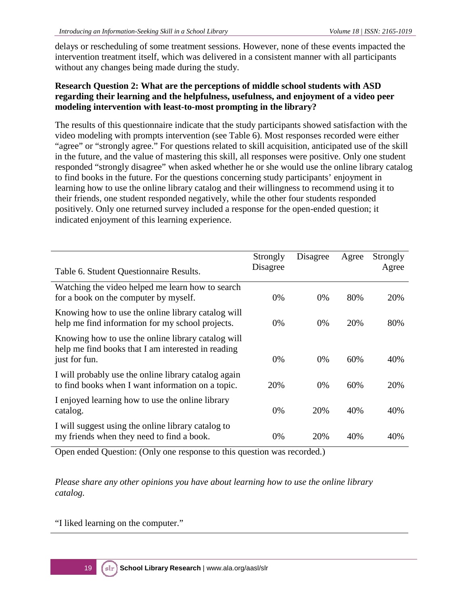delays or rescheduling of some treatment sessions. However, none of these events impacted the intervention treatment itself, which was delivered in a consistent manner with all participants without any changes being made during the study.

#### **Research Question 2: What are the perceptions of middle school students with ASD regarding their learning and the helpfulness, usefulness, and enjoyment of a video peer modeling intervention with least-to-most prompting in the library?**

The results of this questionnaire indicate that the study participants showed satisfaction with the video modeling with prompts intervention (see Table 6). Most responses recorded were either "agree" or "strongly agree." For questions related to skill acquisition, anticipated use of the skill in the future, and the value of mastering this skill, all responses were positive. Only one student responded "strongly disagree" when asked whether he or she would use the online library catalog to find books in the future. For the questions concerning study participants' enjoyment in learning how to use the online library catalog and their willingness to recommend using it to their friends, one student responded negatively, while the other four students responded positively. Only one returned survey included a response for the open-ended question; it indicated enjoyment of this learning experience.

| Table 6. Student Questionnaire Results.                                                                                   | Strongly<br>Disagree | Disagree | Agree | Strongly<br>Agree |
|---------------------------------------------------------------------------------------------------------------------------|----------------------|----------|-------|-------------------|
| Watching the video helped me learn how to search<br>for a book on the computer by myself.                                 | 0%                   | $0\%$    | 80%   | 20%               |
| Knowing how to use the online library catalog will<br>help me find information for my school projects.                    | 0%                   | $0\%$    | 20%   | 80%               |
| Knowing how to use the online library catalog will<br>help me find books that I am interested in reading<br>just for fun. | $0\%$                | $0\%$    | 60%   | 40%               |
| I will probably use the online library catalog again<br>to find books when I want information on a topic.                 | 20%                  | $0\%$    | 60%   | 20%               |
| I enjoyed learning how to use the online library<br>catalog.                                                              | $0\%$                | 20%      | 40%   | 40%               |
| I will suggest using the online library catalog to<br>my friends when they need to find a book.                           | 0%                   | 20%      | 40%   | 40%               |

Open ended Question: (Only one response to this question was recorded.)

*Please share any other opinions you have about learning how to use the online library catalog.*

"I liked learning on the computer."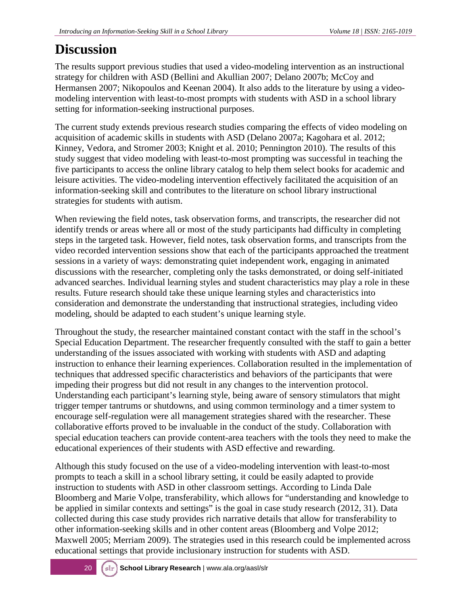# **Discussion**

The results support previous studies that used a video-modeling intervention as an instructional strategy for children with ASD (Bellini and Akullian 2007; Delano 2007b; McCoy and Hermansen 2007; Nikopoulos and Keenan 2004). It also adds to the literature by using a videomodeling intervention with least-to-most prompts with students with ASD in a school library setting for information-seeking instructional purposes.

The current study extends previous research studies comparing the effects of video modeling on acquisition of academic skills in students with ASD (Delano 2007a; Kagohara et al. 2012; Kinney, Vedora, and Stromer 2003; Knight et al. 2010; Pennington 2010). The results of this study suggest that video modeling with least-to-most prompting was successful in teaching the five participants to access the online library catalog to help them select books for academic and leisure activities. The video-modeling intervention effectively facilitated the acquisition of an information-seeking skill and contributes to the literature on school library instructional strategies for students with autism.

When reviewing the field notes, task observation forms, and transcripts, the researcher did not identify trends or areas where all or most of the study participants had difficulty in completing steps in the targeted task. However, field notes, task observation forms, and transcripts from the video recorded intervention sessions show that each of the participants approached the treatment sessions in a variety of ways: demonstrating quiet independent work, engaging in animated discussions with the researcher, completing only the tasks demonstrated, or doing self-initiated advanced searches. Individual learning styles and student characteristics may play a role in these results. Future research should take these unique learning styles and characteristics into consideration and demonstrate the understanding that instructional strategies, including video modeling, should be adapted to each student's unique learning style.

Throughout the study, the researcher maintained constant contact with the staff in the school's Special Education Department. The researcher frequently consulted with the staff to gain a better understanding of the issues associated with working with students with ASD and adapting instruction to enhance their learning experiences. Collaboration resulted in the implementation of techniques that addressed specific characteristics and behaviors of the participants that were impeding their progress but did not result in any changes to the intervention protocol. Understanding each participant's learning style, being aware of sensory stimulators that might trigger temper tantrums or shutdowns, and using common terminology and a timer system to encourage self-regulation were all management strategies shared with the researcher. These collaborative efforts proved to be invaluable in the conduct of the study. Collaboration with special education teachers can provide content-area teachers with the tools they need to make the educational experiences of their students with ASD effective and rewarding.

Although this study focused on the use of a video-modeling intervention with least-to-most prompts to teach a skill in a school library setting, it could be easily adapted to provide instruction to students with ASD in other classroom settings. According to Linda Dale Bloomberg and Marie Volpe, transferability, which allows for "understanding and knowledge to be applied in similar contexts and settings" is the goal in case study research (2012, 31). Data collected during this case study provides rich narrative details that allow for transferability to other information-seeking skills and in other content areas (Bloomberg and Volpe 2012; Maxwell 2005; Merriam 2009). The strategies used in this research could be implemented across educational settings that provide inclusionary instruction for students with ASD.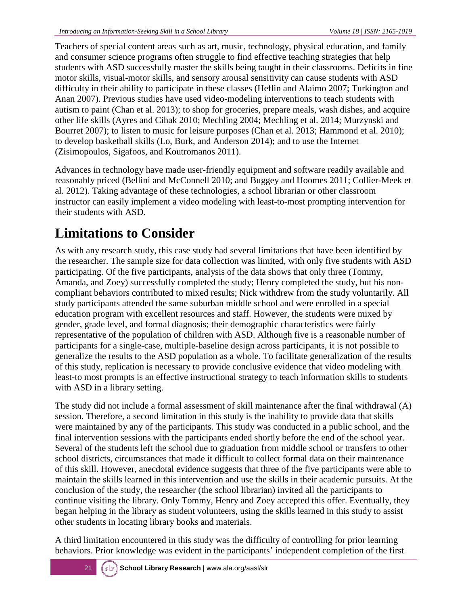Teachers of special content areas such as art, music, technology, physical education, and family and consumer science programs often struggle to find effective teaching strategies that help students with ASD successfully master the skills being taught in their classrooms. Deficits in fine motor skills, visual-motor skills, and sensory arousal sensitivity can cause students with ASD difficulty in their ability to participate in these classes (Heflin and Alaimo 2007; Turkington and Anan 2007). Previous studies have used video-modeling interventions to teach students with autism to paint (Chan et al. 2013); to shop for groceries, prepare meals, wash dishes, and acquire other life skills (Ayres and Cihak 2010; Mechling 2004; Mechling et al. 2014; Murzynski and Bourret 2007); to listen to music for leisure purposes (Chan et al. 2013; Hammond et al. 2010); to develop basketball skills (Lo, Burk, and Anderson 2014); and to use the Internet (Zisimopoulos, Sigafoos, and Koutromanos 2011).

Advances in technology have made user-friendly equipment and software readily available and reasonably priced (Bellini and McConnell 2010; and Buggey and Hoomes 2011; Collier-Meek et al. 2012). Taking advantage of these technologies, a school librarian or other classroom instructor can easily implement a video modeling with least-to-most prompting intervention for their students with ASD.

# **Limitations to Consider**

As with any research study, this case study had several limitations that have been identified by the researcher. The sample size for data collection was limited, with only five students with ASD participating. Of the five participants, analysis of the data shows that only three (Tommy, Amanda, and Zoey) successfully completed the study; Henry completed the study, but his noncompliant behaviors contributed to mixed results; Nick withdrew from the study voluntarily. All study participants attended the same suburban middle school and were enrolled in a special education program with excellent resources and staff. However, the students were mixed by gender, grade level, and formal diagnosis; their demographic characteristics were fairly representative of the population of children with ASD. Although five is a reasonable number of participants for a single-case, multiple-baseline design across participants, it is not possible to generalize the results to the ASD population as a whole. To facilitate generalization of the results of this study, replication is necessary to provide conclusive evidence that video modeling with least-to most prompts is an effective instructional strategy to teach information skills to students with ASD in a library setting.

The study did not include a formal assessment of skill maintenance after the final withdrawal (A) session. Therefore, a second limitation in this study is the inability to provide data that skills were maintained by any of the participants. This study was conducted in a public school, and the final intervention sessions with the participants ended shortly before the end of the school year. Several of the students left the school due to graduation from middle school or transfers to other school districts, circumstances that made it difficult to collect formal data on their maintenance of this skill. However, anecdotal evidence suggests that three of the five participants were able to maintain the skills learned in this intervention and use the skills in their academic pursuits. At the conclusion of the study, the researcher (the school librarian) invited all the participants to continue visiting the library. Only Tommy, Henry and Zoey accepted this offer. Eventually, they began helping in the library as student volunteers, using the skills learned in this study to assist other students in locating library books and materials.

A third limitation encountered in this study was the difficulty of controlling for prior learning behaviors. Prior knowledge was evident in the participants' independent completion of the first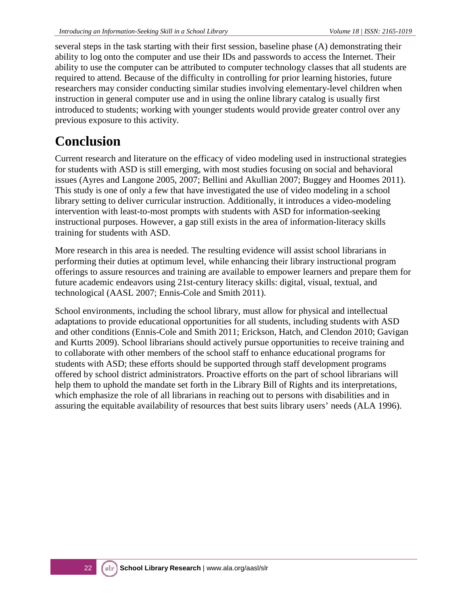several steps in the task starting with their first session, baseline phase (A) demonstrating their ability to log onto the computer and use their IDs and passwords to access the Internet. Their ability to use the computer can be attributed to computer technology classes that all students are required to attend. Because of the difficulty in controlling for prior learning histories, future researchers may consider conducting similar studies involving elementary-level children when instruction in general computer use and in using the online library catalog is usually first introduced to students; working with younger students would provide greater control over any previous exposure to this activity.

# **Conclusion**

Current research and literature on the efficacy of video modeling used in instructional strategies for students with ASD is still emerging, with most studies focusing on social and behavioral issues (Ayres and Langone 2005, 2007; Bellini and Akullian 2007; Buggey and Hoomes 2011). This study is one of only a few that have investigated the use of video modeling in a school library setting to deliver curricular instruction. Additionally, it introduces a video-modeling intervention with least-to-most prompts with students with ASD for information-seeking instructional purposes. However, a gap still exists in the area of information-literacy skills training for students with ASD.

More research in this area is needed. The resulting evidence will assist school librarians in performing their duties at optimum level, while enhancing their library instructional program offerings to assure resources and training are available to empower learners and prepare them for future academic endeavors using 21st-century literacy skills: digital, visual, textual, and technological (AASL 2007; Ennis-Cole and Smith 2011).

School environments, including the school library, must allow for physical and intellectual adaptations to provide educational opportunities for all students, including students with ASD and other conditions (Ennis-Cole and Smith 2011; Erickson, Hatch, and Clendon 2010; Gavigan and Kurtts 2009). School librarians should actively pursue opportunities to receive training and to collaborate with other members of the school staff to enhance educational programs for students with ASD; these efforts should be supported through staff development programs offered by school district administrators. Proactive efforts on the part of school librarians will help them to uphold the mandate set forth in the Library Bill of Rights and its interpretations, which emphasize the role of all librarians in reaching out to persons with disabilities and in assuring the equitable availability of resources that best suits library users' needs (ALA 1996).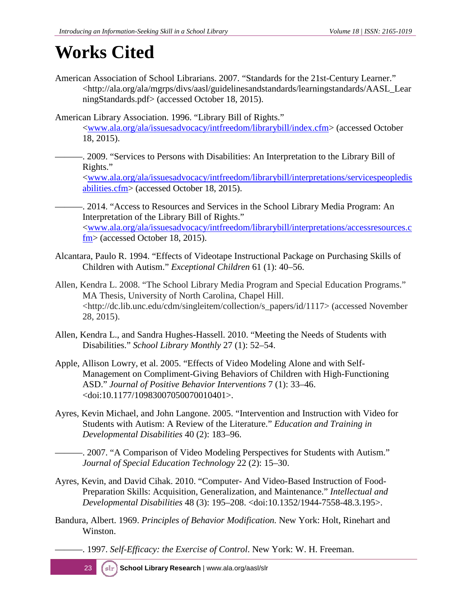# **Works Cited**

American Association of School Librarians. 2007. "Standards for the 21st-Century Learner." <http://ala.org/ala/mgrps/divs/aasl/guidelinesandstandards/learningstandards/AASL\_Lear ningStandards.pdf> (accessed October 18, 2015).

American Library Association. 1996. "Library Bill of Rights." [<www.ala.org/ala/issuesadvocacy/intfreedom/librarybill/index.cfm>](http://www.ala.org/ala/issuesadvocacy/intfreedom/librarybill/index.cfm) (accessed October 18, 2015).

———. 2009. "Services to Persons with Disabilities: An Interpretation to the Library Bill of Rights."

[<www.ala.org/ala/issuesadvocacy/intfreedom/librarybill/interpretations/servicespeopledis](http://www.ala.org/ala/issuesadvocacy/intfreedom/librarybill/interpretations/servicespeopledisabilities.cfm) [abilities.cfm>](http://www.ala.org/ala/issuesadvocacy/intfreedom/librarybill/interpretations/servicespeopledisabilities.cfm) (accessed October 18, 2015).

-. 2014. "Access to Resources and Services in the School Library Media Program: An Interpretation of the Library Bill of Rights." [<www.ala.org/ala/issuesadvocacy/intfreedom/librarybill/interpretations/accessresources.c](http://www.ala.org/ala/issuesadvocacy/intfreedom/librarybill/interpretations/accessresources.cfm)  $f_{\text{m}}$  (accessed October 18, 2015).

- Alcantara, Paulo R. 1994. "Effects of Videotape Instructional Package on Purchasing Skills of Children with Autism." *Exceptional Children* 61 (1): 40–56.
- Allen, Kendra L. 2008. "The School Library Media Program and Special Education Programs." MA Thesis, University of North Carolina, Chapel Hill. <http://dc.lib.unc.edu/cdm/singleitem/collection/s\_papers/id/1117> (accessed November 28, 2015).
- Allen, Kendra L., and Sandra Hughes-Hassell. 2010. "Meeting the Needs of Students with Disabilities." *School Library Monthly* 27 (1): 52–54.
- Apple, Allison Lowry, et al. 2005. "Effects of Video Modeling Alone and with Self-Management on Compliment-Giving Behaviors of Children with High-Functioning ASD." *Journal of Positive Behavior Interventions* 7 (1): 33–46. <doi:10.1177/10983007050070010401>.
- Ayres, Kevin Michael, and John Langone. 2005. "Intervention and Instruction with Video for Students with Autism: A Review of the Literature." *Education and Training in Developmental Disabilities* 40 (2): 183–96.

-. 2007. "A Comparison of Video Modeling Perspectives for Students with Autism." *Journal of Special Education Technology* 22 (2): 15–30.

- Ayres, Kevin, and David Cihak. 2010. "Computer- And Video-Based Instruction of Food-Preparation Skills: Acquisition, Generalization, and Maintenance." *Intellectual and Developmental Disabilities* 48 (3): 195–208. <doi:10.1352/1944-7558-48.3.195>.
- Bandura, Albert. 1969. *Principles of Behavior Modification.* New York: Holt, Rinehart and Winston.

———. 1997. *Self-Efficacy: the Exercise of Control*. New York: W. H. Freeman.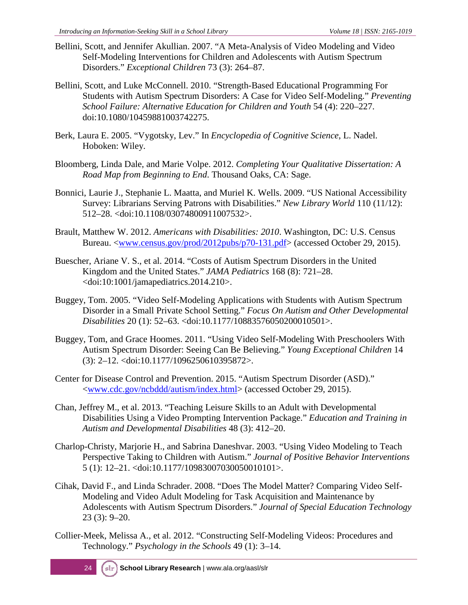- Bellini, Scott, and Jennifer Akullian. 2007. "A Meta-Analysis of Video Modeling and Video Self-Modeling Interventions for Children and Adolescents with Autism Spectrum Disorders." *Exceptional Children* 73 (3): 264–87.
- Bellini, Scott, and Luke McConnell. 2010. "Strength-Based Educational Programming For Students with Autism Spectrum Disorders: A Case for Video Self-Modeling." *Preventing School Failure: Alternative Education for Children and Youth* 54 (4): 220–227. doi:10.1080/10459881003742275.
- Berk, Laura E. 2005. "Vygotsky, Lev." In *Encyclopedia of Cognitive Science*, L. Nadel. Hoboken: Wiley.
- Bloomberg, Linda Dale, and Marie Volpe. 2012. *Completing Your Qualitative Dissertation: A Road Map from Beginning to End*. Thousand Oaks, CA: Sage.
- Bonnici, Laurie J., Stephanie L. Maatta, and Muriel K. Wells. 2009. "US National Accessibility Survey: Librarians Serving Patrons with Disabilities." *New Library World* 110 (11/12): 512–28. <doi:10.1108/03074800911007532>.
- Brault, Matthew W. 2012. *Americans with Disabilities: 2010*. Washington, DC: U.S. Census Bureau. [<www.census.gov/prod/2012pubs/p70-131.pdf>](https://www.census.gov/prod/2012pubs/p70-131.pdf) (accessed October 29, 2015).
- Buescher, Ariane V. S., et al. 2014. "Costs of Autism Spectrum Disorders in the United Kingdom and the United States." *JAMA Pediatrics* 168 (8): 721–28. <doi:10:1001/jamapediatrics.2014.210>.
- Buggey, Tom. 2005. "Video Self-Modeling Applications with Students with Autism Spectrum Disorder in a Small Private School Setting." *Focus On Autism and Other Developmental Disabilities* 20 (1): 52–63. <doi:10.1177/10883576050200010501>.
- Buggey, Tom, and Grace Hoomes. 2011. "Using Video Self-Modeling With Preschoolers With Autism Spectrum Disorder: Seeing Can Be Believing." *Young Exceptional Children* 14 (3): 2–12. <doi:10.1177/1096250610395872>.
- Center for Disease Control and Prevention. 2015. "Autism Spectrum Disorder (ASD)." [<www.cdc.gov/ncbddd/autism/index.html>](http://www.cdc.gov/ncbddd/autism/index.html) (accessed October 29, 2015).
- Chan, Jeffrey M., et al. 2013. "Teaching Leisure Skills to an Adult with Developmental Disabilities Using a Video Prompting Intervention Package." *Education and Training in Autism and Developmental Disabilities* 48 (3): 412–20.
- Charlop-Christy, Marjorie H., and Sabrina Daneshvar. 2003. "Using Video Modeling to Teach Perspective Taking to Children with Autism." *Journal of Positive Behavior Interventions* 5 (1): 12–21. <doi:10.1177/10983007030050010101>.
- Cihak, David F., and Linda Schrader. 2008. "Does The Model Matter? Comparing Video Self-Modeling and Video Adult Modeling for Task Acquisition and Maintenance by Adolescents with Autism Spectrum Disorders." *Journal of Special Education Technology* 23 (3): 9–20.
- Collier-Meek, Melissa A., et al. 2012. "Constructing Self-Modeling Videos: Procedures and Technology." *Psychology in the Schools* 49 (1): 3–14.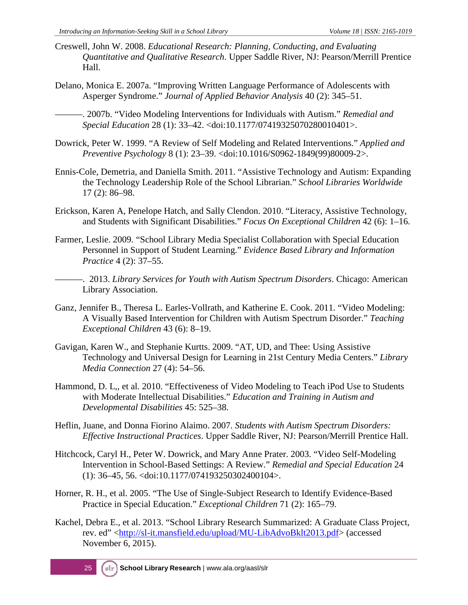- Creswell, John W. 2008. *Educational Research: Planning, Conducting, and Evaluating Quantitative and Qualitative Research*. Upper Saddle River, NJ: Pearson/Merrill Prentice Hall.
- Delano, Monica E. 2007a. "Improving Written Language Performance of Adolescents with Asperger Syndrome." *Journal of Applied Behavior Analysis* 40 (2): 345–51.
	- ———. 2007b. "Video Modeling Interventions for Individuals with Autism." *Remedial and Special Education* 28 (1): 33–42. <doi:10.1177/07419325070280010401>.
- Dowrick, Peter W. 1999. "A Review of Self Modeling and Related Interventions." *Applied and Preventive Psychology* 8 (1): 23–39. <doi:10.1016/S0962-1849(99)80009-2>.
- Ennis-Cole, Demetria, and Daniella Smith. 2011. "Assistive Technology and Autism: Expanding the Technology Leadership Role of the School Librarian." *School Libraries Worldwide* 17 (2): 86–98.
- Erickson, Karen A, Penelope Hatch, and Sally Clendon. 2010. "Literacy, Assistive Technology, and Students with Significant Disabilities." *Focus On Exceptional Children* 42 (6): 1–16.
- Farmer, Leslie. 2009. "School Library Media Specialist Collaboration with Special Education Personnel in Support of Student Learning." *Evidence Based Library and Information Practice* 4 (2): 37–55.
- ———. 2013. *Library Services for Youth with Autism Spectrum Disorders*. Chicago: American Library Association.
- Ganz, Jennifer B., Theresa L. Earles-Vollrath, and Katherine E. Cook. 2011. "Video Modeling: A Visually Based Intervention for Children with Autism Spectrum Disorder." *Teaching Exceptional Children* 43 (6): 8–19.
- Gavigan, Karen W., and Stephanie Kurtts. 2009. "AT, UD, and Thee: Using Assistive Technology and Universal Design for Learning in 21st Century Media Centers." *Library Media Connection* 27 (4): 54–56.
- Hammond, D. L,, et al. 2010. "Effectiveness of Video Modeling to Teach iPod Use to Students with Moderate Intellectual Disabilities." *Education and Training in Autism and Developmental Disabilities* 45: 525–38.
- Heflin, Juane, and Donna Fiorino Alaimo. 2007. *Students with Autism Spectrum Disorders: Effective Instructional Practices*. Upper Saddle River, NJ: Pearson/Merrill Prentice Hall.
- Hitchcock, Caryl H., Peter W. Dowrick, and Mary Anne Prater. 2003. "Video Self-Modeling Intervention in School-Based Settings: A Review." *Remedial and Special Education* 24 (1): 36–45, 56. <doi:10.1177/074193250302400104>.
- Horner, R. H., et al. 2005. "The Use of Single-Subject Research to Identify Evidence-Based Practice in Special Education." *Exceptional Children* 71 (2): 165–79.
- Kachel, Debra E., et al. 2013. "School Library Research Summarized: A Graduate Class Project, rev. ed" [<http://sl-it.mansfield.edu/upload/MU-LibAdvoBklt2013.pdf>](http://sl-it.mansfield.edu/upload/MU-LibAdvoBklt2013.pdf) (accessed November 6, 2015).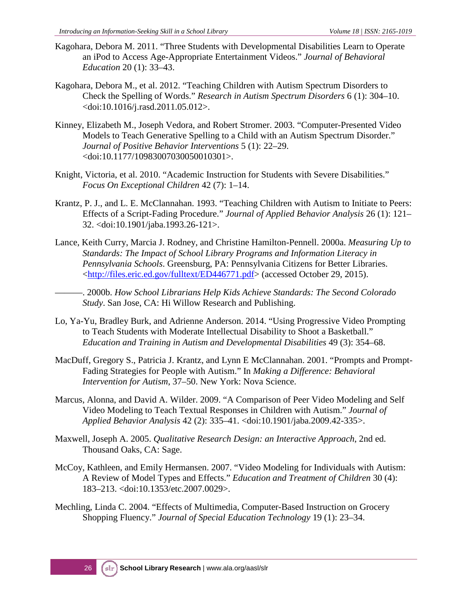- Kagohara, Debora M. 2011. "Three Students with Developmental Disabilities Learn to Operate an iPod to Access Age-Appropriate Entertainment Videos." *Journal of Behavioral Education* 20 (1): 33–43.
- Kagohara, Debora M., et al. 2012. "Teaching Children with Autism Spectrum Disorders to Check the Spelling of Words." *Research in Autism Spectrum Disorders* 6 (1): 304–10. <doi:10.1016/j.rasd.2011.05.012>.
- Kinney, Elizabeth M., Joseph Vedora, and Robert Stromer. 2003. "Computer-Presented Video Models to Teach Generative Spelling to a Child with an Autism Spectrum Disorder." *Journal of Positive Behavior Interventions* 5 (1): 22–29. <doi:10.1177/10983007030050010301>.
- Knight, Victoria, et al. 2010. "Academic Instruction for Students with Severe Disabilities." *Focus On Exceptional Children* 42 (7): 1–14.
- Krantz, P. J., and L. E. McClannahan. 1993. "Teaching Children with Autism to Initiate to Peers: Effects of a Script-Fading Procedure." *Journal of Applied Behavior Analysis* 26 (1): 121– 32. <doi:10.1901/jaba.1993.26-121>.
- Lance, Keith Curry, Marcia J. Rodney, and Christine Hamilton-Pennell. 2000a. *Measuring Up to Standards: The Impact of School Library Programs and Information Literacy in Pennsylvania Schools*. Greensburg, PA: Pennsylvania Citizens for Better Libraries. [<http://files.eric.ed.gov/fulltext/ED446771.pdf>](http://files.eric.ed.gov/fulltext/ED446771.pdf) (accessed October 29, 2015).
	- ———. 2000b. *How School Librarians Help Kids Achieve Standards: The Second Colorado Study*. San Jose, CA: Hi Willow Research and Publishing.
- Lo, Ya-Yu, Bradley Burk, and Adrienne Anderson. 2014. "Using Progressive Video Prompting to Teach Students with Moderate Intellectual Disability to Shoot a Basketball." *Education and Training in Autism and Developmental Disabilities* 49 (3): 354–68.
- MacDuff, Gregory S., Patricia J. Krantz, and Lynn E McClannahan. 2001. "Prompts and Prompt-Fading Strategies for People with Autism." In *Making a Difference: Behavioral Intervention for Autism*, 37–50. New York: Nova Science.
- Marcus, Alonna, and David A. Wilder. 2009. "A Comparison of Peer Video Modeling and Self Video Modeling to Teach Textual Responses in Children with Autism." *Journal of Applied Behavior Analysis* 42 (2): 335–41. <doi:10.1901/jaba.2009.42-335>.
- Maxwell, Joseph A. 2005. *Qualitative Research Design: an Interactive Approach*, 2nd ed. Thousand Oaks, CA: Sage.
- McCoy, Kathleen, and Emily Hermansen. 2007. "Video Modeling for Individuals with Autism: A Review of Model Types and Effects." *Education and Treatment of Children* 30 (4): 183–213. <doi:10.1353/etc.2007.0029>.
- Mechling, Linda C. 2004. "Effects of Multimedia, Computer-Based Instruction on Grocery Shopping Fluency." *Journal of Special Education Technology* 19 (1): 23–34.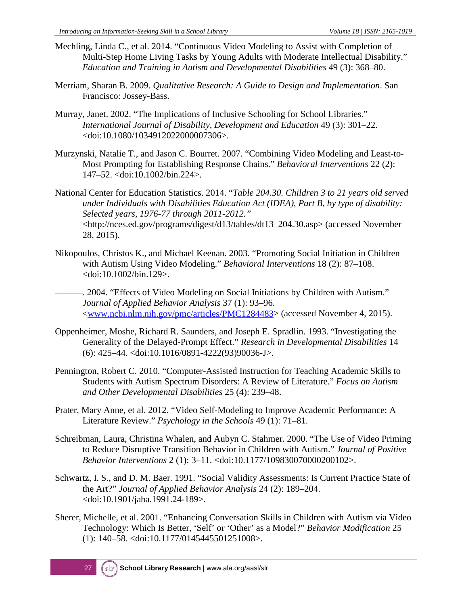- Mechling, Linda C., et al. 2014. "Continuous Video Modeling to Assist with Completion of Multi-Step Home Living Tasks by Young Adults with Moderate Intellectual Disability." *Education and Training in Autism and Developmental Disabilities* 49 (3): 368–80.
- Merriam, Sharan B. 2009. *Qualitative Research: A Guide to Design and Implementation*. San Francisco: Jossey-Bass.
- Murray, Janet. 2002. "The Implications of Inclusive Schooling for School Libraries." *International Journal of Disability, Development and Education* 49 (3): 301–22. <doi:10.1080/1034912022000007306>.
- Murzynski, Natalie T., and Jason C. Bourret. 2007. "Combining Video Modeling and Least-to-Most Prompting for Establishing Response Chains." *Behavioral Interventions* 22 (2): 147–52. <doi:10.1002/bin.224>.
- National Center for Education Statistics. 2014. "*Table 204.30. Children 3 to 21 years old served under Individuals with Disabilities Education Act (IDEA), Part B, by type of disability: Selected years, 1976-77 through 2011-2012."* <http://nces.ed.gov/programs/digest/d13/tables/dt13\_204.30.asp> (accessed November 28, 2015).
- Nikopoulos, Christos K., and Michael Keenan. 2003. "Promoting Social Initiation in Children with Autism Using Video Modeling." *Behavioral Interventions* 18 (2): 87–108. <doi:10.1002/bin.129>.
- ———. 2004. "Effects of Video Modeling on Social Initiations by Children with Autism." *Journal of Applied Behavior Analysis* 37 (1): 93–96. [<www.ncbi.nlm.nih.gov/pmc/articles/PMC1284483>](http://www.ncbi.nlm.nih.gov/pmc/articles/PMC1284483/) (accessed November 4, 2015).
- Oppenheimer, Moshe, Richard R. Saunders, and Joseph E. Spradlin. 1993. "Investigating the Generality of the Delayed-Prompt Effect." *Research in Developmental Disabilities* 14 (6): 425–44. <doi:10.1016/0891-4222(93)90036-J>.
- Pennington, Robert C. 2010. "Computer-Assisted Instruction for Teaching Academic Skills to Students with Autism Spectrum Disorders: A Review of Literature." *Focus on Autism and Other Developmental Disabilities* 25 (4): 239–48.
- Prater, Mary Anne, et al. 2012. "Video Self-Modeling to Improve Academic Performance: A Literature Review." *Psychology in the Schools* 49 (1): 71–81.
- Schreibman, Laura, Christina Whalen, and Aubyn C. Stahmer. 2000. "The Use of Video Priming to Reduce Disruptive Transition Behavior in Children with Autism." *Journal of Positive Behavior Interventions* 2 (1): 3–11. <doi:10.1177/109830070000200102>.
- Schwartz, I. S., and D. M. Baer. 1991. "Social Validity Assessments: Is Current Practice State of the Art?" *Journal of Applied Behavior Analysis* 24 (2): 189–204. <doi:10.1901/jaba.1991.24-189>.
- Sherer, Michelle, et al. 2001. "Enhancing Conversation Skills in Children with Autism via Video Technology: Which Is Better, 'Self' or 'Other' as a Model?" *Behavior Modification* 25 (1): 140–58. <doi:10.1177/0145445501251008>.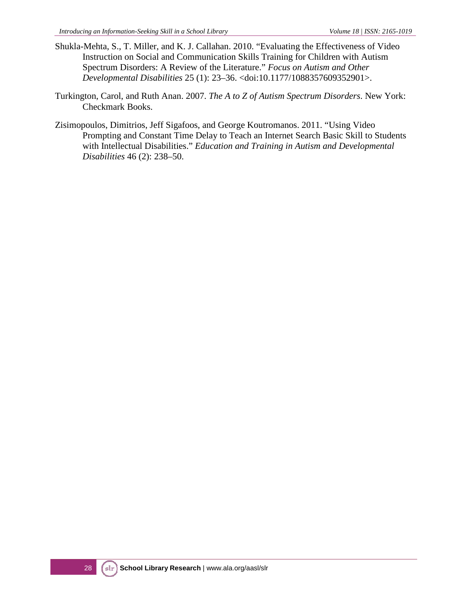- Shukla-Mehta, S., T. Miller, and K. J. Callahan. 2010. "Evaluating the Effectiveness of Video Instruction on Social and Communication Skills Training for Children with Autism Spectrum Disorders: A Review of the Literature." *Focus on Autism and Other Developmental Disabilities* 25 (1): 23–36. <doi:10.1177/1088357609352901>.
- Turkington, Carol, and Ruth Anan. 2007. *The A to Z of Autism Spectrum Disorders*. New York: Checkmark Books.
- Zisimopoulos, Dimitrios, Jeff Sigafoos, and George Koutromanos. 2011. "Using Video Prompting and Constant Time Delay to Teach an Internet Search Basic Skill to Students with Intellectual Disabilities." *Education and Training in Autism and Developmental Disabilities* 46 (2): 238–50.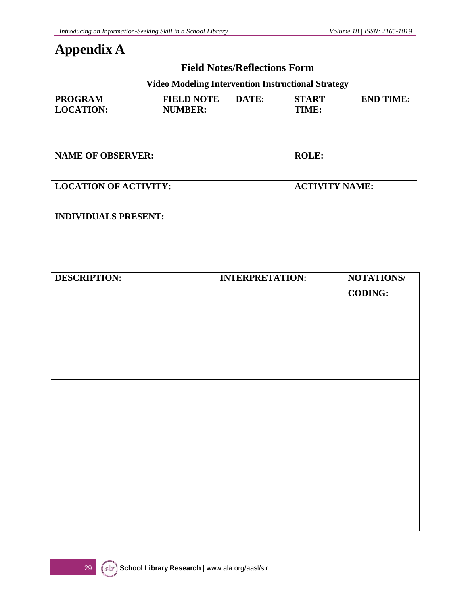## **Appendix A**

#### **Field Notes/Reflections Form**

#### **Video Modeling Intervention Instructional Strategy**

| <b>PROGRAM</b><br><b>LOCATION:</b> | <b>FIELD NOTE</b><br><b>NUMBER:</b> | DATE: | <b>START</b><br>TIME: | <b>END TIME:</b> |
|------------------------------------|-------------------------------------|-------|-----------------------|------------------|
| <b>NAME OF OBSERVER:</b>           | <b>ROLE:</b>                        |       |                       |                  |
| <b>LOCATION OF ACTIVITY:</b>       | <b>ACTIVITY NAME:</b>               |       |                       |                  |
| <b>INDIVIDUALS PRESENT:</b>        |                                     |       |                       |                  |

| <b>DESCRIPTION:</b> | <b>INTERPRETATION:</b> | NOTATIONS/     |
|---------------------|------------------------|----------------|
|                     |                        | <b>CODING:</b> |
|                     |                        |                |
|                     |                        |                |
|                     |                        |                |
|                     |                        |                |
|                     |                        |                |
|                     |                        |                |
|                     |                        |                |
|                     |                        |                |
|                     |                        |                |
|                     |                        |                |
|                     |                        |                |
|                     |                        |                |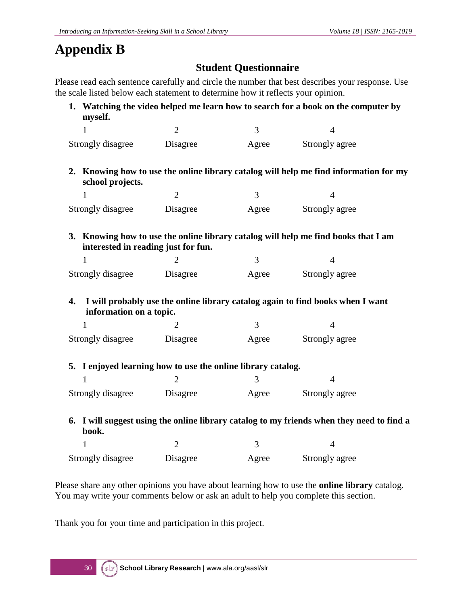# **Appendix B**

## **Student Questionnaire**

Please read each sentence carefully and circle the number that best describes your response. Use the scale listed below each statement to determine how it reflects your opinion.

**1. Watching the video helped me learn how to search for a book on the computer by myself.**

| Strongly disagree | Disagree | Agree | Strongly agree |
|-------------------|----------|-------|----------------|

**2. Knowing how to use the online library catalog will help me find information for my school projects.**

| Strongly disagree | Disagree | Agree | Strongly agree |
|-------------------|----------|-------|----------------|

**3. Knowing how to use the online library catalog will help me find books that I am interested in reading just for fun.**

| Strongly disagree | Disagree | Agree | Strongly agree |
|-------------------|----------|-------|----------------|

**4. I will probably use the online library catalog again to find books when I want information on a topic.**

| Strongly disagree | Disagree | Agree | Strongly agree |
|-------------------|----------|-------|----------------|

#### **5. I enjoyed learning how to use the online library catalog.**

| Strongly disagree | Disagree | Agree | Strongly agree |
|-------------------|----------|-------|----------------|

**6. I will suggest using the online library catalog to my friends when they need to find a book.**  $1$  2 3 4

| Strongly disagree | Disagree | Agree | Strongly agree |
|-------------------|----------|-------|----------------|

Please share any other opinions you have about learning how to use the **online library** catalog. You may write your comments below or ask an adult to help you complete this section.

Thank you for your time and participation in this project.